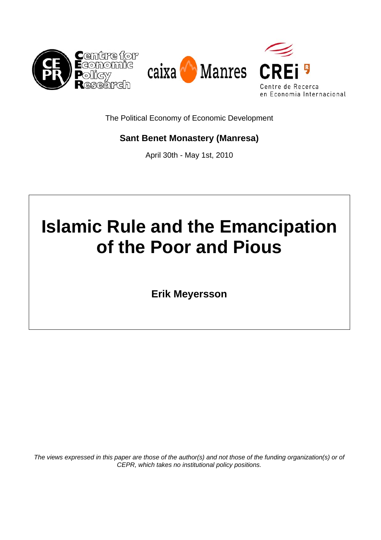

The Political Economy of Economic Development

# **Sant Benet Monastery (Manresa)**

April 30th - May 1st, 2010

# **Islamic Rule and the Emancipation of the Poor and Pious**

**Erik Meyersson**

*The views expressed in this paper are those of the author(s) and not those of the funding organization(s) or of CEPR, which takes no institutional policy positions.*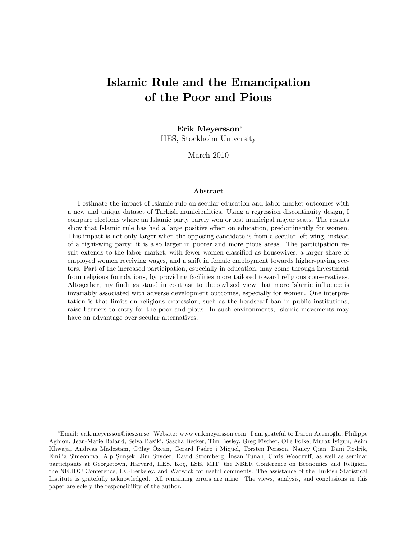# Islamic Rule and the Emancipation of the Poor and Pious

# Erik Meyersson IIES, Stockholm University

March 2010

#### Abstract

I estimate the impact of Islamic rule on secular education and labor market outcomes with a new and unique dataset of Turkish municipalities. Using a regression discontinuity design, I compare elections where an Islamic party barely won or lost municipal mayor seats. The results show that Islamic rule has had a large positive effect on education, predominantly for women. This impact is not only larger when the opposing candidate is from a secular left-wing, instead of a right-wing party; it is also larger in poorer and more pious areas. The participation result extends to the labor market, with fewer women classified as housewives, a larger share of employed women receiving wages, and a shift in female employment towards higher-paying sectors. Part of the increased participation, especially in education, may come through investment from religious foundations, by providing facilities more tailored toward religious conservatives. Altogether, my findings stand in contrast to the stylized view that more Islamic influence is invariably associated with adverse development outcomes, especially for women. One interpretation is that limits on religious expression, such as the headscarf ban in public institutions, raise barriers to entry for the poor and pious. In such environments, Islamic movements may have an advantage over secular alternatives.

Email: erik.meyersson@iies.su.se. Website: www.erikmeyersson.com. I am grateful to Daron Acemoglu, Philippe º Aghion, Jean-Marie Baland, Selva Baziki, Sascha Becker, Tim Besley, Greg Fischer, Olle Folke, Murat İyigün, Asim Khwaja, Andreas Madestam, Gülay Özcan, Gerard Padró i Miquel, Torsten Persson, Nancy Qian, Dani Rodrik, Emilia Simeonova, Alp Şımşek, Jim Snyder, David Strömberg, İnsan Tunalı, Chris Woodruff, as well as seminar participants at Georgetown, Harvard, IIES, Koç, LSE, MIT, the NBER Conference on Economics and Religion, the NEUDC Conference, UC-Berkeley, and Warwick for useful comments. The assistance of the Turkish Statistical Institute is gratefully acknowledged. All remaining errors are mine. The views, analysis, and conclusions in this paper are solely the responsibility of the author.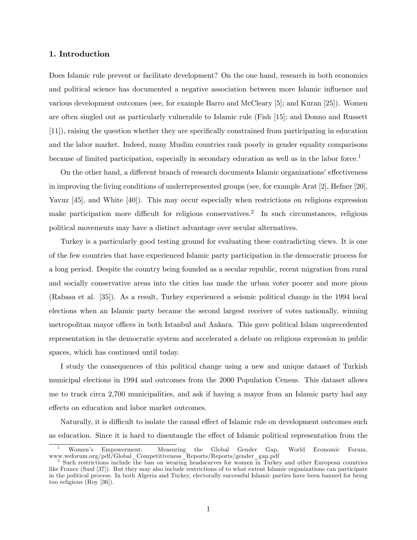#### 1. Introduction

Does Islamic rule prevent or facilitate development? On the one hand, research in both economics and political science has documented a negative association between more Islamic ináuence and various development outcomes (see, for example Barro and McCleary [5]; and Kuran [25]). Women are often singled out as particularly vulnerable to Islamic rule (Fish [15]; and Donno and Russett [11]), raising the question whether they are specifically constrained from participating in education and the labor market. Indeed, many Muslim countries rank poorly in gender equality comparisons because of limited participation, especially in secondary education as well as in the labor force.<sup>1</sup>

On the other hand, a different branch of research documents Islamic organizations' effectiveness in improving the living conditions of underrepresented groups (see, for example Arat [2], Hefner [20], Yavuz [45], and White [40]). This may occur especially when restrictions on religious expression make participation more difficult for religious conservatives.<sup>2</sup> In such circumstances, religious political movements may have a distinct advantage over secular alternatives.

Turkey is a particularly good testing ground for evaluating these contradicting views. It is one of the few countries that have experienced Islamic party participation in the democratic process for a long period. Despite the country being founded as a secular republic, recent migration from rural and socially conservative areas into the cities has made the urban voter poorer and more pious (Rabasa et al. [35]). As a result, Turkey experienced a seismic political change in the 1994 local elections when an Islamic party became the second largest receiver of votes nationally, winning metropolitan mayor offices in both Istanbul and Ankara. This gave political Islam unprecedented representation in the democratic system and accelerated a debate on religious expression in public spaces, which has continued until today.

I study the consequences of this political change using a new and unique dataset of Turkish municipal elections in 1994 and outcomes from the 2000 Population Census. This dataset allows me to track circa 2,700 municipalities, and ask if having a mayor from an Islamic party had any effects on education and labor market outcomes.

Naturally, it is difficult to isolate the causal effect of Islamic rule on development outcomes such as education. Since it is hard to disentangle the effect of Islamic political representation from the

<sup>1</sup> Womenís Empowerment: Measuring the Global Gender Gap, World Economic Forum, www.weforum.org/pdf/Global\_Competitiveness\_Reports/Reports/gender\_gap.pdf

<sup>&</sup>lt;sup>2</sup> Such restrictions include the ban on wearing headscarves for women in Turkey and other European countries like France (Saul [37]). But they may also include restrictions of to what extent Islamic organizations can participate in the political process. In both Algeria and Turkey, electorally successful Islamic parties have been banned for being too religious (Roy [36]).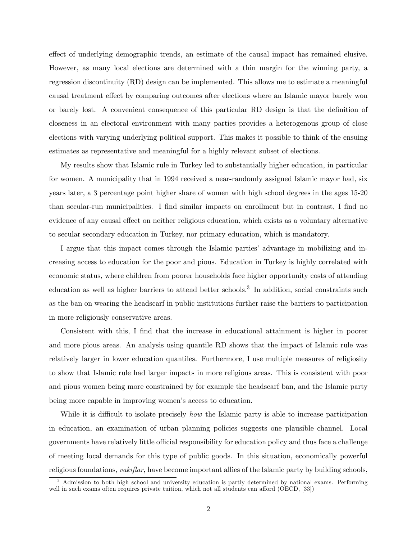effect of underlying demographic trends, an estimate of the causal impact has remained elusive. However, as many local elections are determined with a thin margin for the winning party, a regression discontinuity (RD) design can be implemented. This allows me to estimate a meaningful causal treatment effect by comparing outcomes after elections where an Islamic mayor barely won or barely lost. A convenient consequence of this particular RD design is that the definition of closeness in an electoral environment with many parties provides a heterogenous group of close elections with varying underlying political support. This makes it possible to think of the ensuing estimates as representative and meaningful for a highly relevant subset of elections.

My results show that Islamic rule in Turkey led to substantially higher education, in particular for women. A municipality that in 1994 received a near-randomly assigned Islamic mayor had, six years later, a 3 percentage point higher share of women with high school degrees in the ages 15-20 than secular-run municipalities. I find similar impacts on enrollment but in contrast, I find no evidence of any causal effect on neither religious education, which exists as a voluntary alternative to secular secondary education in Turkey, nor primary education, which is mandatory.

I argue that this impact comes through the Islamic partiesí advantage in mobilizing and increasing access to education for the poor and pious. Education in Turkey is highly correlated with economic status, where children from poorer households face higher opportunity costs of attending education as well as higher barriers to attend better schools.<sup>3</sup> In addition, social constraints such as the ban on wearing the headscarf in public institutions further raise the barriers to participation in more religiously conservative areas.

Consistent with this, I find that the increase in educational attainment is higher in poorer and more pious areas. An analysis using quantile RD shows that the impact of Islamic rule was relatively larger in lower education quantiles. Furthermore, I use multiple measures of religiosity to show that Islamic rule had larger impacts in more religious areas. This is consistent with poor and pious women being more constrained by for example the headscarf ban, and the Islamic party being more capable in improving women's access to education.

While it is difficult to isolate precisely *how* the Islamic party is able to increase participation in education, an examination of urban planning policies suggests one plausible channel. Local governments have relatively little official responsibility for education policy and thus face a challenge of meeting local demands for this type of public goods. In this situation, economically powerful religious foundations,  $vakz$ flar, have become important allies of the Islamic party by building schools,

<sup>3</sup> Admission to both high school and university education is partly determined by national exams. Performing well in such exams often requires private tuition, which not all students can afford (OECD, [33])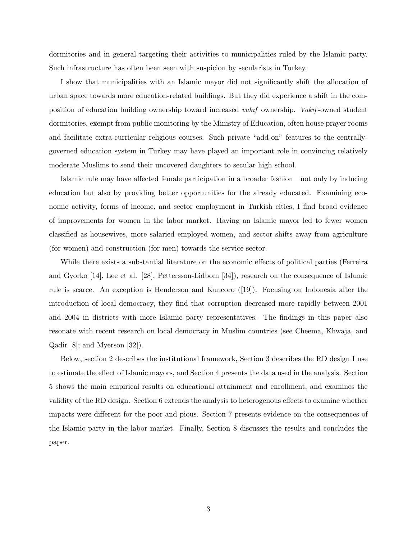dormitories and in general targeting their activities to municipalities ruled by the Islamic party. Such infrastructure has often been seen with suspicion by secularists in Turkey.

I show that municipalities with an Islamic mayor did not significantly shift the allocation of urban space towards more education-related buildings. But they did experience a shift in the composition of education building ownership toward increased *vakif* ownership. Vakif-owned student dormitories, exempt from public monitoring by the Ministry of Education, often house prayer rooms and facilitate extra-curricular religious courses. Such private "add-on" features to the centrallygoverned education system in Turkey may have played an important role in convincing relatively moderate Muslims to send their uncovered daughters to secular high school.

Islamic rule may have affected female participation in a broader fashion—not only by inducing education but also by providing better opportunities for the already educated. Examining economic activity, forms of income, and sector employment in Turkish cities, I find broad evidence of improvements for women in the labor market. Having an Islamic mayor led to fewer women classified as housewives, more salaried employed women, and sector shifts away from agriculture (for women) and construction (for men) towards the service sector.

While there exists a substantial literature on the economic effects of political parties (Ferreira and Gyorko [14], Lee et al. [28], Pettersson-Lidbom [34]), research on the consequence of Islamic rule is scarce. An exception is Henderson and Kuncoro ([19]). Focusing on Indonesia after the introduction of local democracy, they find that corruption decreased more rapidly between 2001 and 2004 in districts with more Islamic party representatives. The findings in this paper also resonate with recent research on local democracy in Muslim countries (see Cheema, Khwaja, and Qadir [8]; and Myerson [32]).

Below, section 2 describes the institutional framework, Section 3 describes the RD design I use to estimate the effect of Islamic mayors, and Section 4 presents the data used in the analysis. Section 5 shows the main empirical results on educational attainment and enrollment, and examines the validity of the RD design. Section 6 extends the analysis to heterogenous effects to examine whether impacts were different for the poor and pious. Section 7 presents evidence on the consequences of the Islamic party in the labor market. Finally, Section 8 discusses the results and concludes the paper.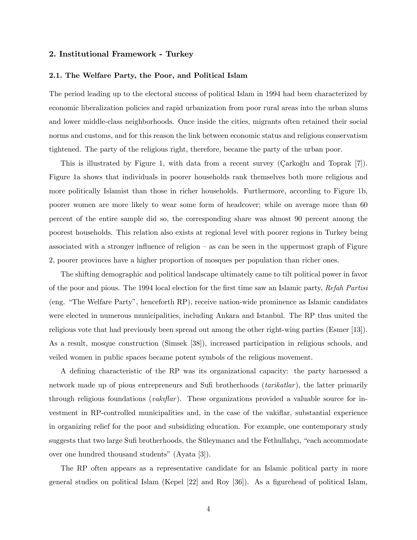#### 2. Institutional Framework - Turkey

#### 2.1. The Welfare Party, the Poor, and Political Islam

The period leading up to the electoral success of political Islam in 1994 had been characterized by economic liberalization policies and rapid urbanization from poor rural areas into the urban slums and lower middle-class neighborhoods. Once inside the cities, migrants often retained their social norms and customs, and for this reason the link between economic status and religious conservatism tightened. The party of the religious right, therefore, became the party of the urban poor.

This is illustrated by Figure 1, with data from a recent survey ( $\text{Carkoğlu}$  and Toprak [7]). Figure 1a shows that individuals in poorer households rank themselves both more religious and more politically Islamist than those in richer households. Furthermore, according to Figure 1b, poorer women are more likely to wear some form of headcover; while on average more than 60 percent of the entire sample did so, the corresponding share was almost 90 percent among the poorest households. This relation also exists at regional level with poorer regions in Turkey being associated with a stronger influence of religion  $-$  as can be seen in the uppermost graph of Figure 2, poorer provinces have a higher proportion of mosques per population than richer ones.

The shifting demographic and political landscape ultimately came to tilt political power in favor of the poor and pious. The 1994 local election for the first time saw an Islamic party, Refah Partisi (eng. "The Welfare Party", henceforth RP), receive nation-wide prominence as Islamic candidates were elected in numerous municipalities, including Ankara and Istanbul. The RP thus united the religious vote that had previously been spread out among the other right-wing parties (Esmer [13]). As a result, mosque construction (Simsek [38]), increased participation in religious schools, and veiled women in public spaces became potent symbols of the religious movement.

A defining characteristic of the RP was its organizational capacity: the party harnessed a network made up of pious entrepreneurs and Sufi brotherhoods *(tarikatlar)*, the latter primarily through religious foundations (*vakiftar*). These organizations provided a valuable source for investment in RP-controlled municipalities and, in the case of the vakiflar, substantial experience in organizing relief for the poor and subsidizing education. For example, one contemporary study suggests that two large Sufi brotherhoods, the Süleymancı and the Fethullahçı, "each accommodate" over one hundred thousand students" (Ayata [3]).

The RP often appears as a representative candidate for an Islamic political party in more general studies on political Islam (Kepel  $[22]$  and Roy  $[36]$ ). As a figurehead of political Islam,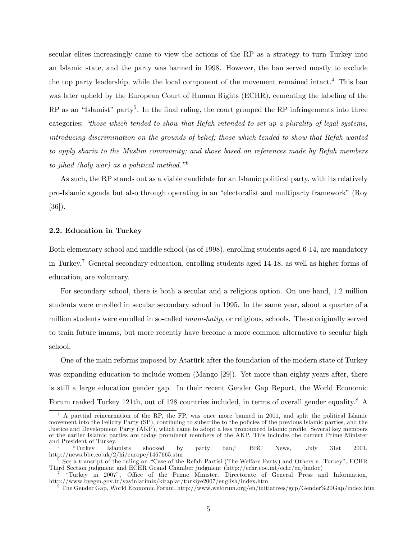secular elites increasingly came to view the actions of the RP as a strategy to turn Turkey into an Islamic state, and the party was banned in 1998. However, the ban served mostly to exclude the top party leadership, while the local component of the movement remained intact.<sup>4</sup> This ban was later upheld by the European Court of Human Rights (ECHR), cementing the labeling of the RP as an "Islamist" party<sup>5</sup>. In the final ruling, the court grouped the RP infringements into three categories; "those which tended to show that Refah intended to set up a plurality of legal systems, introducing discrimination on the grounds of belief; those which tended to show that Refah wanted to apply sharia to the Muslim community; and those based on references made by Refah members to jihad (holy war) as a political method.<sup> $n^6$ </sup>

As such, the RP stands out as a viable candidate for an Islamic political party, with its relatively pro-Islamic agenda but also through operating in an "electoralist and multiparty framework" (Roy [36]).

#### 2.2. Education in Turkey

Both elementary school and middle school (as of 1998), enrolling students aged 6-14, are mandatory in Turkey.<sup>7</sup> General secondary education, enrolling students aged 14-18, as well as higher forms of education, are voluntary.

For secondary school, there is both a secular and a religious option. On one hand, 1.2 million students were enrolled in secular secondary school in 1995. In the same year, about a quarter of a million students were enrolled in so-called *imam-hatip*, or religious, schools. These originally served to train future imams, but more recently have become a more common alternative to secular high school.

One of the main reforms imposed by Atatürk after the foundation of the modern state of Turkey was expanding education to include women (Mango [29]). Yet more than eighty years after, there is still a large education gender gap. In their recent Gender Gap Report, the World Economic Forum ranked Turkey 121th, out of 128 countries included, in terms of overall gender equality.<sup>8</sup> A

<sup>4</sup> A parttial reincarnation of the RP, the FP, was once more banned in 2001, and split the political Islamic movement into the Felicity Party (SP), continuing to subscribe to the policies of the previous Islamic parties, and the Justice and Development Party (AKP), which came to adopt a less pronounced Islamic profile. Several key members of the earlier Islamic parties are today prominent members of the AKP. This includes the current Prime Minister and President of Turkey.<br>
"Turkey Islamists"

<sup>5</sup> ìTurkey Islamists shocked by party ban,î BBC News, July 31st 2001, http://news.bbc.co.uk/2/hi/europe/1467665.stm

<sup>6</sup> See a transript of the ruling on "Case of the Refah Partisi (The Welfare Party) and Others v. Turkey", ECHR Third Section judgment and ECHR Grand Chamber judgment (http://echr.coe.int/echr/en/hudoc)

<sup>&</sup>lt;sup>7</sup> "Turkey in 2007", Office of the Prime Minister, Directorate of General Press and Information, http://www.byegm.gov.tr/yayinlarimiz/kitaplar/turkiye2007/english/index.htm

<sup>8</sup> The Gender Gap, World Economic Forum, http://www.weforum.org/en/initiatives/gcp/Gender%20Gap/index.htm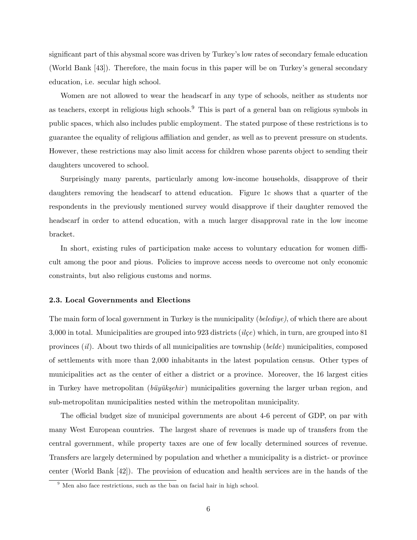significant part of this abysmal score was driven by Turkey's low rates of secondary female education (World Bank [43]). Therefore, the main focus in this paper will be on Turkey's general secondary education, i.e. secular high school.

Women are not allowed to wear the headscarf in any type of schools, neither as students nor as teachers, except in religious high schools.<sup>9</sup> This is part of a general ban on religious symbols in public spaces, which also includes public employment. The stated purpose of these restrictions is to guarantee the equality of religious affiliation and gender, as well as to prevent pressure on students. However, these restrictions may also limit access for children whose parents object to sending their daughters uncovered to school.

Surprisingly many parents, particularly among low-income households, disapprove of their daughters removing the headscarf to attend education. Figure 1c shows that a quarter of the respondents in the previously mentioned survey would disapprove if their daughter removed the headscarf in order to attend education, with a much larger disapproval rate in the low income bracket.

In short, existing rules of participation make access to voluntary education for women difficult among the poor and pious. Policies to improve access needs to overcome not only economic constraints, but also religious customs and norms.

#### 2.3. Local Governments and Elections

The main form of local government in Turkey is the municipality (belediye), of which there are about 3,000 in total. Municipalities are grouped into 923 districts ( $ile$ ) which, in turn, are grouped into 81 provinces (il). About two thirds of all municipalities are township (belde) municipalities, composed of settlements with more than 2,000 inhabitants in the latest population census. Other types of municipalities act as the center of either a district or a province. Moreover, the 16 largest cities in Turkey have metropolitan (*büyükşehir*) municipalities governing the larger urban region, and sub-metropolitan municipalities nested within the metropolitan municipality.

The official budget size of municipal governments are about 4-6 percent of GDP, on par with many West European countries. The largest share of revenues is made up of transfers from the central government, while property taxes are one of few locally determined sources of revenue. Transfers are largely determined by population and whether a municipality is a district- or province center (World Bank [42]). The provision of education and health services are in the hands of the

 $9$  Men also face restrictions, such as the ban on facial hair in high school.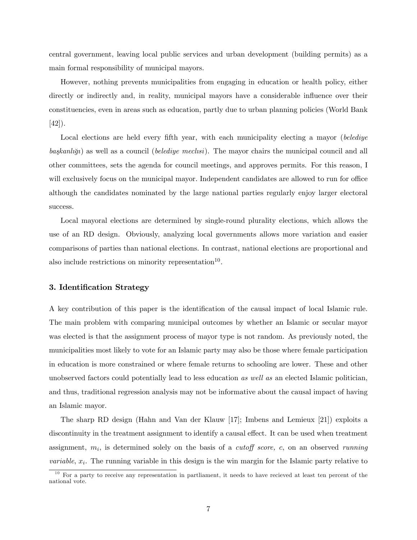central government, leaving local public services and urban development (building permits) as a main formal responsibility of municipal mayors.

However, nothing prevents municipalities from engaging in education or health policy, either directly or indirectly and, in reality, municipal mayors have a considerable influence over their constituencies, even in areas such as education, partly due to urban planning policies (World Bank [42]).

Local elections are held every fifth year, with each municipality electing a mayor (belediye  $baskanlīqi)$  as well as a council (*belediye meclisi*). The mayor chairs the municipal council and all other committees, sets the agenda for council meetings, and approves permits. For this reason, I will exclusively focus on the municipal mayor. Independent candidates are allowed to run for office although the candidates nominated by the large national parties regularly enjoy larger electoral success.

Local mayoral elections are determined by single-round plurality elections, which allows the use of an RD design. Obviously, analyzing local governments allows more variation and easier comparisons of parties than national elections. In contrast, national elections are proportional and also include restrictions on minority representation<sup>10</sup>.

#### 3. Identification Strategy

A key contribution of this paper is the identification of the causal impact of local Islamic rule. The main problem with comparing municipal outcomes by whether an Islamic or secular mayor was elected is that the assignment process of mayor type is not random. As previously noted, the municipalities most likely to vote for an Islamic party may also be those where female participation in education is more constrained or where female returns to schooling are lower. These and other unobserved factors could potentially lead to less education as well as an elected Islamic politician, and thus, traditional regression analysis may not be informative about the causal impact of having an Islamic mayor.

The sharp RD design (Hahn and Van der Klauw [17]; Imbens and Lemieux [21]) exploits a discontinuity in the treatment assignment to identify a causal effect. It can be used when treatment assignment,  $m_i$ , is determined solely on the basis of a *cutoff score*, c, on an observed *running variable*,  $x_i$ . The running variable in this design is the win margin for the Islamic party relative to

 $10$  For a party to receive any representation in partliament, it needs to have recieved at least ten percent of the national vote.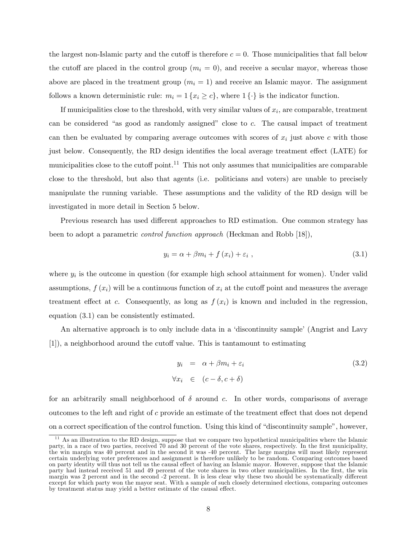the largest non-Islamic party and the cutoff is therefore  $c = 0$ . Those municipalities that fall below the cutoff are placed in the control group  $(m_i = 0)$ , and receive a secular mayor, whereas those above are placed in the treatment group  $(m_i = 1)$  and receive an Islamic mayor. The assignment follows a known deterministic rule:  $m_i = 1 \{x_i \ge c\}$ , where  $1 \{\cdot\}$  is the indicator function.

If municipalities close to the threshold, with very similar values of  $x_i$ , are comparable, treatment can be considered "as good as randomly assigned" close to  $c$ . The causal impact of treatment can then be evaluated by comparing average outcomes with scores of  $x_i$  just above c with those just below. Consequently, the RD design identifies the local average treatment effect (LATE) for municipalities close to the cutoff point.<sup>11</sup> This not only assumes that municipalities are comparable close to the threshold, but also that agents (i.e. politicians and voters) are unable to precisely manipulate the running variable. These assumptions and the validity of the RD design will be investigated in more detail in Section 5 below.

Previous research has used different approaches to RD estimation. One common strategy has been to adopt a parametric control function approach (Heckman and Robb [18]),

$$
y_i = \alpha + \beta m_i + f(x_i) + \varepsilon_i \t\t(3.1)
$$

where  $y_i$  is the outcome in question (for example high school attainment for women). Under valid assumptions,  $f(x_i)$  will be a continuous function of  $x_i$  at the cutoff point and measures the average treatment effect at c. Consequently, as long as  $f(x_i)$  is known and included in the regression, equation (3.1) can be consistently estimated.

An alternative approach is to only include data in a 'discontinuity sample' (Angrist and Lavy  $[1]$ , a neighborhood around the cutoff value. This is tantamount to estimating

$$
y_i = \alpha + \beta m_i + \varepsilon_i
$$
  
\n
$$
\forall x_i \in (c - \delta, c + \delta)
$$
\n(3.2)

for an arbitrarily small neighborhood of  $\delta$  around c. In other words, comparisons of average outcomes to the left and right of  $c$  provide an estimate of the treatment effect that does not depend on a correct specification of the control function. Using this kind of "discontinuity sample", however,

As an illustration to the RD design, suppose that we compare two hypothetical municipalities where the Islamic party, in a race of two parties, received 70 and 30 percent of the vote shares, respectively. In the first municipality, the win margin was 40 percent and in the second it was -40 percent. The large margins will most likely represent certain underlying voter preferences and assignment is therefore unlikely to be random. Comparing outcomes based on party identity will thus not tell us the causal effect of having an Islamic mayor. However, suppose that the Islamic party had instead received 51 and 49 percent of the vote shares in two other municipalities. In the first, the win margin was 2 percent and in the second -2 percent. It is less clear why these two should be systematically different except for which party won the mayor seat. With a sample of such closely determined elections, comparing outcomes by treatment status may yield a better estimate of the causal effect.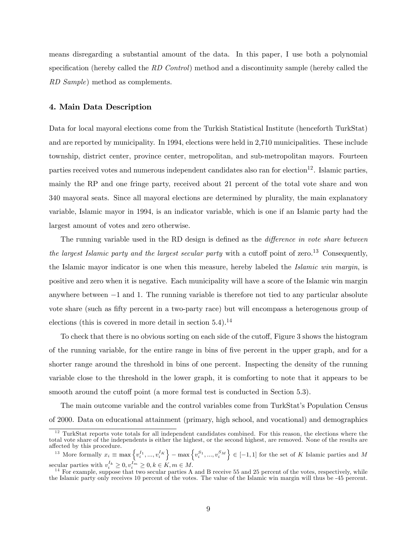means disregarding a substantial amount of the data. In this paper, I use both a polynomial specification (hereby called the  $RD$  Control) method and a discontinuity sample (hereby called the RD Sample) method as complements.

#### 4. Main Data Description

Data for local mayoral elections come from the Turkish Statistical Institute (henceforth TurkStat) and are reported by municipality. In 1994, elections were held in 2,710 municipalities. These include township, district center, province center, metropolitan, and sub-metropolitan mayors. Fourteen parties received votes and numerous independent candidates also ran for election<sup>12</sup>. Islamic parties, mainly the RP and one fringe party, received about 21 percent of the total vote share and won 340 mayoral seats. Since all mayoral elections are determined by plurality, the main explanatory variable, Islamic mayor in 1994, is an indicator variable, which is one if an Islamic party had the largest amount of votes and zero otherwise.

The running variable used in the RD design is defined as the *difference in vote share between* the largest Islamic party and the largest secular party with a cutoff point of zero.<sup>13</sup> Consequently, the Islamic mayor indicator is one when this measure, hereby labeled the Islamic win margin, is positive and zero when it is negative. Each municipality will have a score of the Islamic win margin anywhere between  $-1$  and 1. The running variable is therefore not tied to any particular absolute vote share (such as fifty percent in a two-party race) but will encompass a heterogenous group of elections (this is covered in more detail in section  $5.4$ ).<sup>14</sup>

To check that there is no obvious sorting on each side of the cutoff, Figure 3 shows the histogram of the running variable, for the entire range in bins of Öve percent in the upper graph, and for a shorter range around the threshold in bins of one percent. Inspecting the density of the running variable close to the threshold in the lower graph, it is comforting to note that it appears to be smooth around the cutoff point (a more formal test is conducted in Section 5.3).

The main outcome variable and the control variables come from TurkStatís Population Census of 2000. Data on educational attainment (primary, high school, and vocational) and demographics

 $12$  TurkStat reports vote totals for all independent candidates combined. For this reason, the elections where the total vote share of the independents is either the highest, or the second highest, are removed. None of the results are affected by this procedure.

<sup>&</sup>lt;sup>13</sup> More formally  $x_i \equiv \max \left\{v_i^{I_1},...,v_i^{I_K}\right\} - \max \left\{v_i^{S_1},...,v_i^{S_M}\right\} \in [-1,1]$  for the set of K Islamic parties and M secular parties with  $v_i^{I_k} \geq 0, v_i^{I_m} \geq 0, k \in K, m \in M$ .

 $14$  For example, suppose that two secular parties A and B receive 55 and 25 percent of the votes, respectively, while the Islamic party only receives 10 percent of the votes. The value of the Islamic win margin will thus be -45 percent.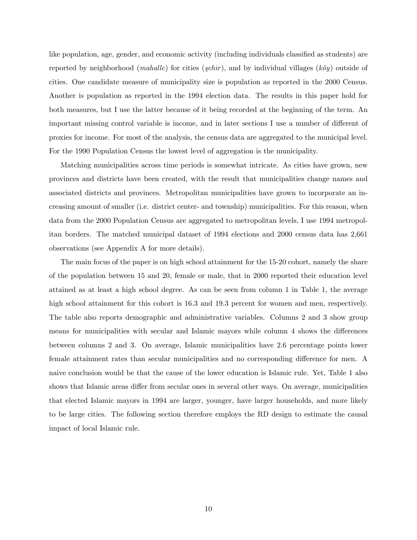like population, age, gender, and economic activity (including individuals classified as students) are reported by neighborhood (*mahalle*) for cities (*şehir*), and by individual villages ( $k\ddot{o}y$ ) outside of cities. One candidate measure of municipality size is population as reported in the 2000 Census. Another is population as reported in the 1994 election data. The results in this paper hold for both measures, but I use the latter because of it being recorded at the beginning of the term. An important missing control variable is income, and in later sections I use a number of different of proxies for income. For most of the analysis, the census data are aggregated to the municipal level. For the 1990 Population Census the lowest level of aggregation is the municipality.

Matching municipalities across time periods is somewhat intricate. As cities have grown, new provinces and districts have been created, with the result that municipalities change names and associated districts and provinces. Metropolitan municipalities have grown to incorporate an increasing amount of smaller (i.e. district center- and township) municipalities. For this reason, when data from the 2000 Population Census are aggregated to metropolitan levels, I use 1994 metropolitan borders. The matched municipal dataset of 1994 elections and 2000 census data has 2,661 observations (see Appendix A for more details).

The main focus of the paper is on high school attainment for the 15-20 cohort, namely the share of the population between 15 and 20, female or male, that in 2000 reported their education level attained as at least a high school degree. As can be seen from column 1 in Table 1, the average high school attainment for this cohort is 16.3 and 19.3 percent for women and men, respectively. The table also reports demographic and administrative variables. Columns 2 and 3 show group means for municipalities with secular and Islamic mayors while column 4 shows the differences between columns 2 and 3. On average, Islamic municipalities have 2.6 percentage points lower female attainment rates than secular municipalities and no corresponding difference for men. A naive conclusion would be that the cause of the lower education is Islamic rule. Yet, Table 1 also shows that Islamic areas differ from secular ones in several other ways. On average, municipalities that elected Islamic mayors in 1994 are larger, younger, have larger households, and more likely to be large cities. The following section therefore employs the RD design to estimate the causal impact of local Islamic rule.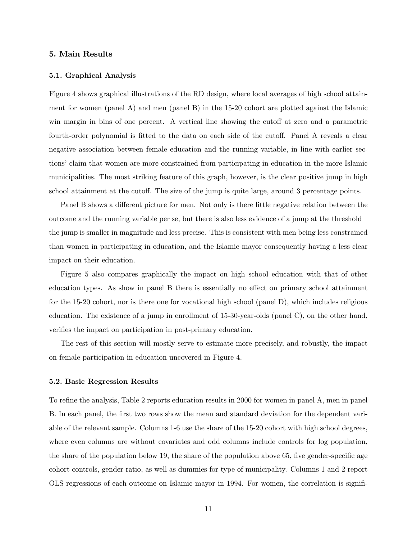#### 5. Main Results

#### 5.1. Graphical Analysis

Figure 4 shows graphical illustrations of the RD design, where local averages of high school attainment for women (panel A) and men (panel B) in the 15-20 cohort are plotted against the Islamic win margin in bins of one percent. A vertical line showing the cutoff at zero and a parametric fourth-order polynomial is fitted to the data on each side of the cutoff. Panel A reveals a clear negative association between female education and the running variable, in line with earlier sections' claim that women are more constrained from participating in education in the more Islamic municipalities. The most striking feature of this graph, however, is the clear positive jump in high school attainment at the cutoff. The size of the jump is quite large, around 3 percentage points.

Panel B shows a different picture for men. Not only is there little negative relation between the outcome and the running variable per se, but there is also less evidence of a jump at the threshold  $-\frac{1}{2}$ the jump is smaller in magnitude and less precise. This is consistent with men being less constrained than women in participating in education, and the Islamic mayor consequently having a less clear impact on their education.

Figure 5 also compares graphically the impact on high school education with that of other education types. As show in panel B there is essentially no effect on primary school attainment for the 15-20 cohort, nor is there one for vocational high school (panel D), which includes religious education. The existence of a jump in enrollment of 15-30-year-olds (panel C), on the other hand, verifies the impact on participation in post-primary education.

The rest of this section will mostly serve to estimate more precisely, and robustly, the impact on female participation in education uncovered in Figure 4.

#### 5.2. Basic Regression Results

To refine the analysis, Table 2 reports education results in 2000 for women in panel A, men in panel B. In each panel, the first two rows show the mean and standard deviation for the dependent variable of the relevant sample. Columns 1-6 use the share of the 15-20 cohort with high school degrees, where even columns are without covariates and odd columns include controls for log population, the share of the population below 19, the share of the population above 65, five gender-specific age cohort controls, gender ratio, as well as dummies for type of municipality. Columns 1 and 2 report OLS regressions of each outcome on Islamic mayor in 1994. For women, the correlation is signifi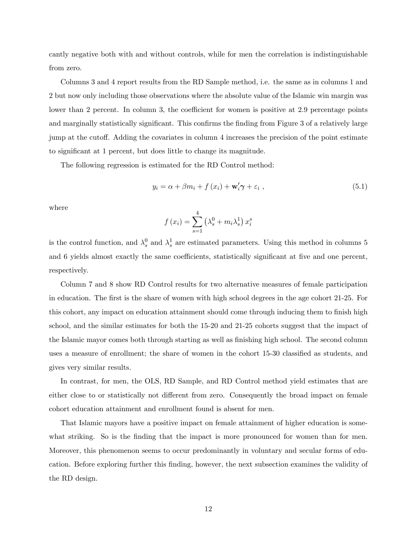cantly negative both with and without controls, while for men the correlation is indistinguishable from zero.

Columns 3 and 4 report results from the RD Sample method, i.e. the same as in columns 1 and 2 but now only including those observations where the absolute value of the Islamic win margin was lower than 2 percent. In column 3, the coefficient for women is positive at 2.9 percentage points and marginally statistically significant. This confirms the finding from Figure 3 of a relatively large jump at the cutoff. Adding the covariates in column 4 increases the precision of the point estimate to significant at 1 percent, but does little to change its magnitude.

The following regression is estimated for the RD Control method:

$$
y_i = \alpha + \beta m_i + f(x_i) + \mathbf{w}_i' \boldsymbol{\gamma} + \varepsilon_i , \qquad (5.1)
$$

where

$$
f(x_i) = \sum_{s=1}^{4} \left(\lambda_s^0 + m_i \lambda_s^1\right) x_i^s
$$

is the control function, and  $\lambda_s^0$  and  $\lambda_s^1$  are estimated parameters. Using this method in columns 5 and 6 yields almost exactly the same coefficients, statistically significant at five and one percent. respectively.

Column 7 and 8 show RD Control results for two alternative measures of female participation in education. The first is the share of women with high school degrees in the age cohort 21-25. For this cohort, any impact on education attainment should come through inducing them to finish high school, and the similar estimates for both the 15-20 and 21-25 cohorts suggest that the impact of the Islamic mayor comes both through starting as well as finishing high school. The second column uses a measure of enrollment; the share of women in the cohort 15-30 classified as students, and gives very similar results.

In contrast, for men, the OLS, RD Sample, and RD Control method yield estimates that are either close to or statistically not different from zero. Consequently the broad impact on female cohort education attainment and enrollment found is absent for men.

That Islamic mayors have a positive impact on female attainment of higher education is somewhat striking. So is the finding that the impact is more pronounced for women than for men. Moreover, this phenomenon seems to occur predominantly in voluntary and secular forms of education. Before exploring further this Önding, however, the next subsection examines the validity of the RD design.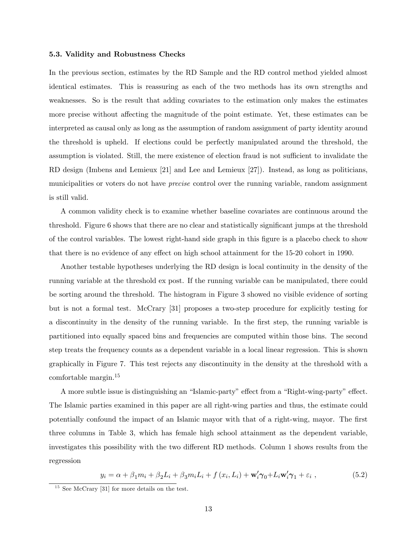#### 5.3. Validity and Robustness Checks

In the previous section, estimates by the RD Sample and the RD control method yielded almost identical estimates. This is reassuring as each of the two methods has its own strengths and weaknesses. So is the result that adding covariates to the estimation only makes the estimates more precise without affecting the magnitude of the point estimate. Yet, these estimates can be interpreted as causal only as long as the assumption of random assignment of party identity around the threshold is upheld. If elections could be perfectly manipulated around the threshold, the assumption is violated. Still, the mere existence of election fraud is not sufficient to invalidate the RD design (Imbens and Lemieux [21] and Lee and Lemieux [27]). Instead, as long as politicians, municipalities or voters do not have *precise* control over the running variable, random assignment is still valid.

A common validity check is to examine whether baseline covariates are continuous around the threshold. Figure 6 shows that there are no clear and statistically significant jumps at the threshold of the control variables. The lowest right-hand side graph in this Ögure is a placebo check to show that there is no evidence of any effect on high school attainment for the 15-20 cohort in 1990.

Another testable hypotheses underlying the RD design is local continuity in the density of the running variable at the threshold ex post. If the running variable can be manipulated, there could be sorting around the threshold. The histogram in Figure 3 showed no visible evidence of sorting but is not a formal test. McCrary [31] proposes a two-step procedure for explicitly testing for a discontinuity in the density of the running variable. In the first step, the running variable is partitioned into equally spaced bins and frequencies are computed within those bins. The second step treats the frequency counts as a dependent variable in a local linear regression. This is shown graphically in Figure 7. This test rejects any discontinuity in the density at the threshold with a comfortable margin.<sup>15</sup>

A more subtle issue is distinguishing an "Islamic-party" effect from a "Right-wing-party" effect. The Islamic parties examined in this paper are all right-wing parties and thus, the estimate could potentially confound the impact of an Islamic mayor with that of a right-wing, mayor. The first three columns in Table 3, which has female high school attainment as the dependent variable, investigates this possibility with the two different RD methods. Column 1 shows results from the regression

$$
y_i = \alpha + \beta_1 m_i + \beta_2 L_i + \beta_3 m_i L_i + f(x_i, L_i) + \mathbf{w}_i' \gamma_0 + L_i \mathbf{w}_i' \gamma_1 + \varepsilon_i , \qquad (5.2)
$$

 $15$  See McCrary [31] for more details on the test.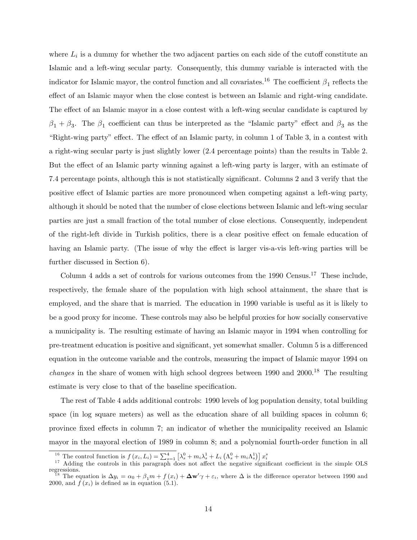where  $L_i$  is a dummy for whether the two adjacent parties on each side of the cutoff constitute an Islamic and a left-wing secular party. Consequently, this dummy variable is interacted with the indicator for Islamic mayor, the control function and all covariates.<sup>16</sup> The coefficient  $\beta_1$  reflects the effect of an Islamic mayor when the close contest is between an Islamic and right-wing candidate. The effect of an Islamic mayor in a close contest with a left-wing secular candidate is captured by  $\beta_1 + \beta_3$ . The  $\beta_1$  coefficient can thus be interpreted as the "Islamic party" effect and  $\beta_3$  as the Example if  $R$  is a contest with  $\Gamma$  is effect of an Islamic party, in column 1 of Table 3, in a contest with a right-wing secular party is just slightly lower (2.4 percentage points) than the results in Table 2. But the effect of an Islamic party winning against a left-wing party is larger, with an estimate of 7.4 percentage points, although this is not statistically significant. Columns 2 and 3 verify that the positive effect of Islamic parties are more pronounced when competing against a left-wing party, although it should be noted that the number of close elections between Islamic and left-wing secular parties are just a small fraction of the total number of close elections. Consequently, independent of the right-left divide in Turkish politics, there is a clear positive effect on female education of having an Islamic party. (The issue of why the effect is larger vis-a-vis left-wing parties will be further discussed in Section 6).

Column 4 adds a set of controls for various outcomes from the 1990 Census.<sup>17</sup> These include, respectively, the female share of the population with high school attainment, the share that is employed, and the share that is married. The education in 1990 variable is useful as it is likely to be a good proxy for income. These controls may also be helpful proxies for how socially conservative a municipality is. The resulting estimate of having an Islamic mayor in 1994 when controlling for pre-treatment education is positive and significant, yet somewhat smaller. Column 5 is a differenced equation in the outcome variable and the controls, measuring the impact of Islamic mayor 1994 on *changes* in the share of women with high school degrees between  $1990$  and  $2000$ .<sup>18</sup> The resulting estimate is very close to that of the baseline specification.

The rest of Table 4 adds additional controls: 1990 levels of log population density, total building space (in log square meters) as well as the education share of all building spaces in column 6; province fixed effects in column 7; an indicator of whether the municipality received an Islamic mayor in the mayoral election of 1989 in column 8; and a polynomial fourth-order function in all

<sup>&</sup>lt;sup>16</sup> The control function is  $f(x_i, L_i) = \sum_{s=1}^4 \left[ \lambda_s^0 + m_i \lambda_s^1 + L_i \left( \Lambda_s^0 + m_i \Lambda_s^1 \right) \right] x_i^s$ <br><sup>17</sup> Adding the controls in this paragraph does not affect the negative significant coefficient in the simple OLS regressions. <sup>18</sup> The equation is  $\Delta y_i = \alpha_0 + \beta_1 m + f(x_i) + \Delta \mathbf{w}' \gamma + \varepsilon_i$ , where  $\Delta$  is the difference operator between 1990 and 2000, and  $f(x_i)$  is defined as in equation (5.1).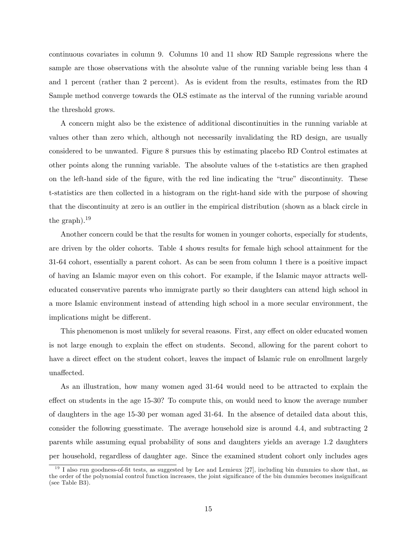continuous covariates in column 9. Columns 10 and 11 show RD Sample regressions where the sample are those observations with the absolute value of the running variable being less than 4 and 1 percent (rather than 2 percent). As is evident from the results, estimates from the RD Sample method converge towards the OLS estimate as the interval of the running variable around the threshold grows.

A concern might also be the existence of additional discontinuities in the running variable at values other than zero which, although not necessarily invalidating the RD design, are usually considered to be unwanted. Figure 8 pursues this by estimating placebo RD Control estimates at other points along the running variable. The absolute values of the t-statistics are then graphed on the left-hand side of the figure, with the red line indicating the "true" discontinuity. These t-statistics are then collected in a histogram on the right-hand side with the purpose of showing that the discontinuity at zero is an outlier in the empirical distribution (shown as a black circle in the graph). $^{19}$ 

Another concern could be that the results for women in younger cohorts, especially for students, are driven by the older cohorts. Table 4 shows results for female high school attainment for the 31-64 cohort, essentially a parent cohort. As can be seen from column 1 there is a positive impact of having an Islamic mayor even on this cohort. For example, if the Islamic mayor attracts welleducated conservative parents who immigrate partly so their daughters can attend high school in a more Islamic environment instead of attending high school in a more secular environment, the implications might be different.

This phenomenon is most unlikely for several reasons. First, any effect on older educated women is not large enough to explain the effect on students. Second, allowing for the parent cohort to have a direct effect on the student cohort, leaves the impact of Islamic rule on enrollment largely unaffected.

As an illustration, how many women aged 31-64 would need to be attracted to explain the effect on students in the age 15-30? To compute this, on would need to know the average number of daughters in the age 15-30 per woman aged 31-64. In the absence of detailed data about this, consider the following guesstimate. The average household size is around 4.4, and subtracting 2 parents while assuming equal probability of sons and daughters yields an average 1.2 daughters per household, regardless of daughter age. Since the examined student cohort only includes ages

 $19$  I also run goodness-of-fit tests, as suggested by Lee and Lemieux [27], including bin dummies to show that, as the order of the polynomial control function increases, the joint significance of the bin dummies becomes insignificant (see Table B3).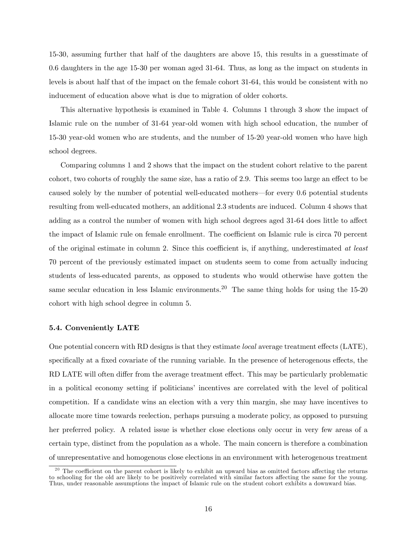15-30, assuming further that half of the daughters are above 15, this results in a guesstimate of 0.6 daughters in the age 15-30 per woman aged 31-64. Thus, as long as the impact on students in levels is about half that of the impact on the female cohort 31-64, this would be consistent with no inducement of education above what is due to migration of older cohorts.

This alternative hypothesis is examined in Table 4. Columns 1 through 3 show the impact of Islamic rule on the number of 31-64 year-old women with high school education, the number of 15-30 year-old women who are students, and the number of 15-20 year-old women who have high school degrees.

Comparing columns 1 and 2 shows that the impact on the student cohort relative to the parent cohort, two cohorts of roughly the same size, has a ratio of 2.9. This seems too large an effect to be caused solely by the number of potential well-educated mothers—for every 0.6 potential students resulting from well-educated mothers, an additional 2.3 students are induced. Column 4 shows that adding as a control the number of women with high school degrees aged 31-64 does little to affect the impact of Islamic rule on female enrollment. The coefficient on Islamic rule is circa 70 percent of the original estimate in column 2. Since this coefficient is, if anything, underestimated at least 70 percent of the previously estimated impact on students seem to come from actually inducing students of less-educated parents, as opposed to students who would otherwise have gotten the same secular education in less Islamic environments.<sup>20</sup> The same thing holds for using the  $15{\text -}20$ cohort with high school degree in column 5.

#### 5.4. Conveniently LATE

One potential concern with RD designs is that they estimate *local* average treatment effects (LATE), specifically at a fixed covariate of the running variable. In the presence of heterogenous effects, the RD LATE will often differ from the average treatment effect. This may be particularly problematic in a political economy setting if politicians' incentives are correlated with the level of political competition. If a candidate wins an election with a very thin margin, she may have incentives to allocate more time towards reelection, perhaps pursuing a moderate policy, as opposed to pursuing her preferred policy. A related issue is whether close elections only occur in very few areas of a certain type, distinct from the population as a whole. The main concern is therefore a combination of unrepresentative and homogenous close elections in an environment with heterogenous treatment

 $20$  The coefficient on the parent cohort is likely to exhibit an upward bias as omitted factors affecting the returns to schooling for the old are likely to be positively correlated with similar factors affecting the same for the young. Thus, under reasonable assumptions the impact of Islamic rule on the student cohort exhibits a downward bias.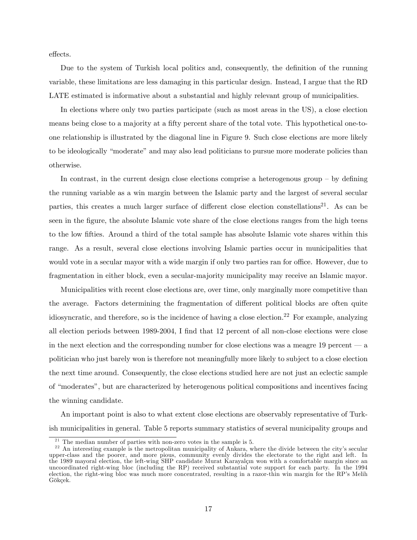effects.

Due to the system of Turkish local politics and, consequently, the definition of the running variable, these limitations are less damaging in this particular design. Instead, I argue that the RD LATE estimated is informative about a substantial and highly relevant group of municipalities.

In elections where only two parties participate (such as most areas in the US), a close election means being close to a majority at a fifty percent share of the total vote. This hypothetical one-toone relationship is illustrated by the diagonal line in Figure 9. Such close elections are more likely to be ideologically "moderate" and may also lead politicians to pursue more moderate policies than otherwise.

In contrast, in the current design close elections comprise a heterogenous group  $-$  by defining the running variable as a win margin between the Islamic party and the largest of several secular parties, this creates a much larger surface of different close election constellations<sup>21</sup>. As can be seen in the figure, the absolute Islamic vote share of the close elections ranges from the high teens to the low Öfties. Around a third of the total sample has absolute Islamic vote shares within this range. As a result, several close elections involving Islamic parties occur in municipalities that would vote in a secular mayor with a wide margin if only two parties ran for office. However, due to fragmentation in either block, even a secular-majority municipality may receive an Islamic mayor.

Municipalities with recent close elections are, over time, only marginally more competitive than the average. Factors determining the fragmentation of different political blocks are often quite idiosyncratic, and therefore, so is the incidence of having a close election.<sup>22</sup> For example, analyzing all election periods between 1989-2004, I find that 12 percent of all non-close elections were close in the next election and the corresponding number for close elections was a meagre  $19$  percent  $\sim$  a politician who just barely won is therefore not meaningfully more likely to subject to a close election the next time around. Consequently, the close elections studied here are not just an eclectic sample of "moderates", but are characterized by heterogenous political compositions and incentives facing the winning candidate.

An important point is also to what extent close elections are observably representative of Turkish municipalities in general. Table 5 reports summary statistics of several municipality groups and

 $21$  The median number of parties with non-zero votes in the sample is 5.

 $^{22}$  An interesting example is the metropolitan municipality of Ankara, where the divide between the city's secular upper-class and the poorer, and more pious, community evenly divides the electorate to the right and left. In the 1989 mayoral election, the left-wing SHP candidate Murat Karayalçın won with a comfortable margin since an uncoordinated right-wing bloc (including the RP) received substantial vote support for each party. In the 1994 election, the right-wing bloc was much more concentrated, resulting in a razor-thin win margin for the RP's Melih Gökçek.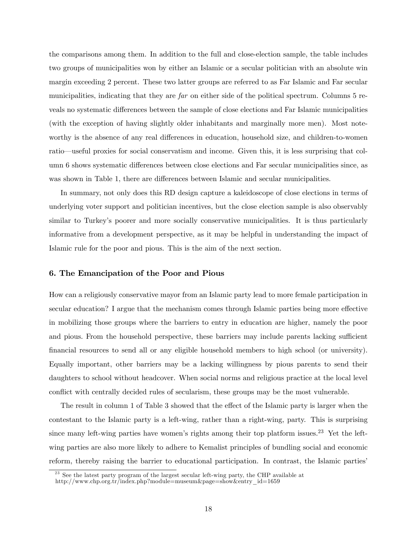the comparisons among them. In addition to the full and close-election sample, the table includes two groups of municipalities won by either an Islamic or a secular politician with an absolute win margin exceeding 2 percent. These two latter groups are referred to as Far Islamic and Far secular municipalities, indicating that they are far on either side of the political spectrum. Columns 5 reveals no systematic differences between the sample of close elections and Far Islamic municipalities (with the exception of having slightly older inhabitants and marginally more men). Most noteworthy is the absence of any real differences in education, household size, and children-to-women ratio—useful proxies for social conservatism and income. Given this, it is less surprising that column 6 shows systematic differences between close elections and Far secular municipalities since, as was shown in Table 1, there are differences between Islamic and secular municipalities.

In summary, not only does this RD design capture a kaleidoscope of close elections in terms of underlying voter support and politician incentives, but the close election sample is also observably similar to Turkey's poorer and more socially conservative municipalities. It is thus particularly informative from a development perspective, as it may be helpful in understanding the impact of Islamic rule for the poor and pious. This is the aim of the next section.

#### 6. The Emancipation of the Poor and Pious

How can a religiously conservative mayor from an Islamic party lead to more female participation in secular education? I argue that the mechanism comes through Islamic parties being more effective in mobilizing those groups where the barriers to entry in education are higher, namely the poor and pious. From the household perspective, these barriers may include parents lacking sufficient Önancial resources to send all or any eligible household members to high school (or university). Equally important, other barriers may be a lacking willingness by pious parents to send their daughters to school without headcover. When social norms and religious practice at the local level conflict with centrally decided rules of secularism, these groups may be the most vulnerable.

The result in column 1 of Table 3 showed that the effect of the Islamic party is larger when the contestant to the Islamic party is a left-wing, rather than a right-wing, party. This is surprising since many left-wing parties have women's rights among their top platform issues.<sup>23</sup> Yet the leftwing parties are also more likely to adhere to Kemalist principles of bundling social and economic reform, thereby raising the barrier to educational participation. In contrast, the Islamic parties'

 $^{23}$  See the latest party program of the largest secular left-wing party, the CHP available at

http://www.chp.org.tr/index.php?module=museum&page=show&entry\_id=1659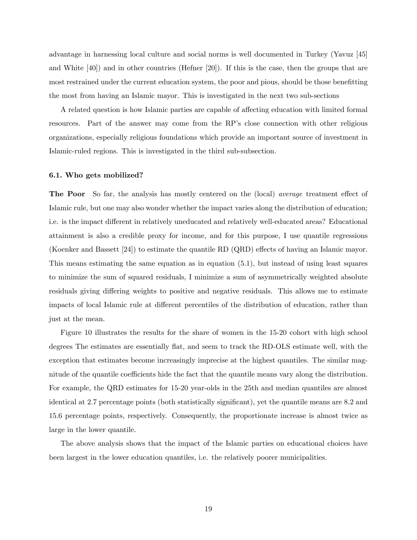advantage in harnessing local culture and social norms is well documented in Turkey (Yavuz [45] and White [40]) and in other countries (Hefner [20]). If this is the case, then the groups that are most restrained under the current education system, the poor and pious, should be those benefitting the most from having an Islamic mayor. This is investigated in the next two sub-sections

A related question is how Islamic parties are capable of affecting education with limited formal resources. Part of the answer may come from the RP's close connection with other religious organizations, especially religious foundations which provide an important source of investment in Islamic-ruled regions. This is investigated in the third sub-subsection.

#### 6.1. Who gets mobilized?

The Poor So far, the analysis has mostly centered on the (local) *average* treatment effect of Islamic rule, but one may also wonder whether the impact varies along the distribution of education; i.e. is the impact different in relatively uneducated and relatively well-educated areas? Educational attainment is also a credible proxy for income, and for this purpose, I use quantile regressions (Koenker and Bassett  $|24|$ ) to estimate the quantile RD (QRD) effects of having an Islamic mayor. This means estimating the same equation as in equation (5.1), but instead of using least squares to minimize the sum of squared residuals, I minimize a sum of asymmetrically weighted absolute residuals giving differing weights to positive and negative residuals. This allows me to estimate impacts of local Islamic rule at different percentiles of the distribution of education, rather than just at the mean.

Figure 10 illustrates the results for the share of women in the 15-20 cohort with high school degrees The estimates are essentially flat, and seem to track the RD-OLS estimate well, with the exception that estimates become increasingly imprecise at the highest quantiles. The similar magnitude of the quantile coefficients hide the fact that the quantile means vary along the distribution. For example, the QRD estimates for 15-20 year-olds in the 25th and median quantiles are almost identical at 2.7 percentage points (both statistically significant), yet the quantile means are 8.2 and 15.6 percentage points, respectively. Consequently, the proportionate increase is almost twice as large in the lower quantile.

The above analysis shows that the impact of the Islamic parties on educational choices have been largest in the lower education quantiles, i.e. the relatively poorer municipalities.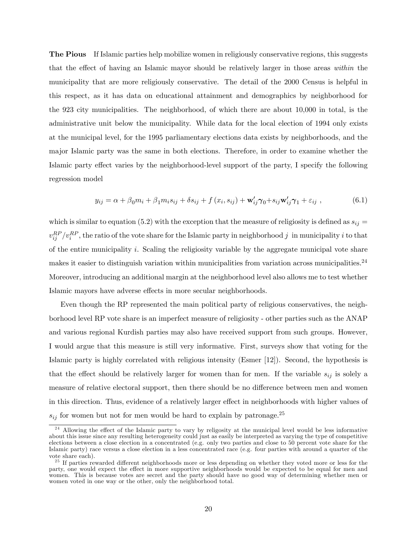The Pious If Islamic parties help mobilize women in religiously conservative regions, this suggests that the effect of having an Islamic mayor should be relatively larger in those areas within the municipality that are more religiously conservative. The detail of the 2000 Census is helpful in this respect, as it has data on educational attainment and demographics by neighborhood for the 923 city municipalities. The neighborhood, of which there are about 10,000 in total, is the administrative unit below the municipality. While data for the local election of 1994 only exists at the municipal level, for the 1995 parliamentary elections data exists by neighborhoods, and the major Islamic party was the same in both elections. Therefore, in order to examine whether the Islamic party effect varies by the neighborhood-level support of the party, I specify the following regression model

$$
y_{ij} = \alpha + \beta_0 m_i + \beta_1 m_i s_{ij} + \delta s_{ij} + f(x_i, s_{ij}) + \mathbf{w}'_{ij} \gamma_0 + s_{ij} \mathbf{w}'_{ij} \gamma_1 + \varepsilon_{ij} , \qquad (6.1)
$$

which is similar to equation (5.2) with the exception that the measure of religiosity is defined as  $s_{ij} =$  $v_{ij}^{RP}/v_i^{RP}$ , the ratio of the vote share for the Islamic party in neighborhood  $j$  in municipality  $i$  to that of the entire municipality  $i$ . Scaling the religiosity variable by the aggregate municipal vote share makes it easier to distinguish variation within municipalities from variation across municipalities.<sup>24</sup> Moreover, introducing an additional margin at the neighborhood level also allows me to test whether Islamic mayors have adverse effects in more secular neighborhoods.

Even though the RP represented the main political party of religious conservatives, the neighborhood level RP vote share is an imperfect measure of religiosity - other parties such as the ANAP and various regional Kurdish parties may also have received support from such groups. However, I would argue that this measure is still very informative. First, surveys show that voting for the Islamic party is highly correlated with religious intensity (Esmer [12]). Second, the hypothesis is that the effect should be relatively larger for women than for men. If the variable  $s_{ij}$  is solely a measure of relative electoral support, then there should be no difference between men and women in this direction. Thus, evidence of a relatively larger effect in neighborhoods with higher values of  $s_{ij}$  for women but not for men would be hard to explain by patronage.<sup>25</sup>

 $^{24}$  Allowing the effect of the Islamic party to vary by religosity at the municipal level would be less informative about this issue since any resulting heterogeneity could just as easily be interpreted as varying the type of competitive elections between a close election in a concentrated (e.g. only two parties and close to 50 percent vote share for the Islamic party) race versus a close election in a less concentrated race (e.g. four parties with around a quarter of the vote share each).

 $^{25}$  If parties rewarded different neighborhoods more or less depending on whether they voted more or less for the party, one would expect the effect in more supportive neighborhoods would be expected to be equal for men and women. This is because votes are secret and the party should have no good way of determining whether men or women voted in one way or the other, only the neighborhood total.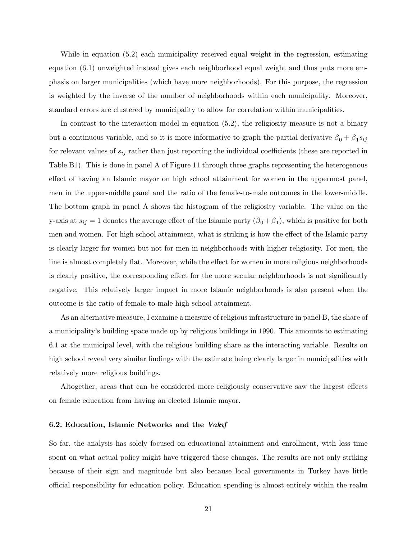While in equation (5.2) each municipality received equal weight in the regression, estimating equation (6.1) unweighted instead gives each neighborhood equal weight and thus puts more emphasis on larger municipalities (which have more neighborhoods). For this purpose, the regression is weighted by the inverse of the number of neighborhoods within each municipality. Moreover, standard errors are clustered by municipality to allow for correlation within municipalities.

In contrast to the interaction model in equation (5.2), the religiosity measure is not a binary but a continuous variable, and so it is more informative to graph the partial derivative  $\beta_0 + \beta_1 s_{ij}$ for relevant values of  $s_{ij}$  rather than just reporting the individual coefficients (these are reported in Table B1). This is done in panel A of Figure 11 through three graphs representing the heterogenous effect of having an Islamic mayor on high school attainment for women in the uppermost panel, men in the upper-middle panel and the ratio of the female-to-male outcomes in the lower-middle. The bottom graph in panel A shows the histogram of the religiosity variable. The value on the y-axis at  $s_{ij} = 1$  denotes the average effect of the Islamic party  $(\beta_0 + \beta_1)$ , which is positive for both men and women. For high school attainment, what is striking is how the effect of the Islamic party is clearly larger for women but not for men in neighborhoods with higher religiosity. For men, the line is almost completely flat. Moreover, while the effect for women in more religious neighborhoods is clearly positive, the corresponding effect for the more secular neighborhoods is not significantly negative. This relatively larger impact in more Islamic neighborhoods is also present when the outcome is the ratio of female-to-male high school attainment.

As an alternative measure, I examine a measure of religious infrastructure in panel B, the share of a municipalityís building space made up by religious buildings in 1990. This amounts to estimating 6.1 at the municipal level, with the religious building share as the interacting variable. Results on high school reveal very similar findings with the estimate being clearly larger in municipalities with relatively more religious buildings.

Altogether, areas that can be considered more religiously conservative saw the largest effects on female education from having an elected Islamic mayor.

#### 6.2. Education, Islamic Networks and the Vakif

So far, the analysis has solely focused on educational attainment and enrollment, with less time spent on what actual policy might have triggered these changes. The results are not only striking because of their sign and magnitude but also because local governments in Turkey have little o¢ cial responsibility for education policy. Education spending is almost entirely within the realm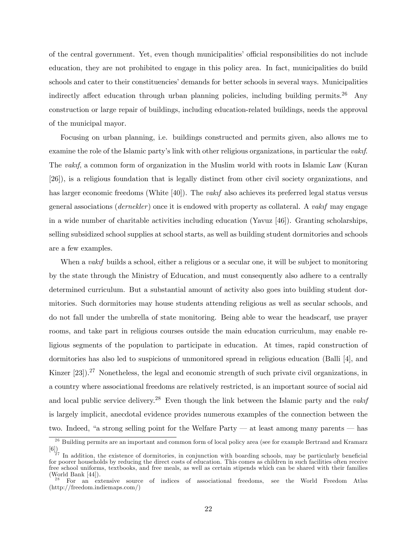of the central government. Yet, even though municipalities' official responsibilities do not include education, they are not prohibited to engage in this policy area. In fact, municipalities do build schools and cater to their constituencies' demands for better schools in several ways. Municipalities indirectly affect education through urban planning policies, including building permits.<sup>26</sup> Any construction or large repair of buildings, including education-related buildings, needs the approval of the municipal mayor.

Focusing on urban planning, i.e. buildings constructed and permits given, also allows me to examine the role of the Islamic party's link with other religious organizations, in particular the *vakif.* The vakif, a common form of organization in the Muslim world with roots in Islamic Law (Kuran [26]), is a religious foundation that is legally distinct from other civil society organizations, and has larger economic freedoms (White  $[40]$ ). The *vakif* also achieves its preferred legal status versus general associations (*dernekler*) once it is endowed with property as collateral. A *vakif* may engage in a wide number of charitable activities including education (Yavuz [46]). Granting scholarships, selling subsidized school supplies at school starts, as well as building student dormitories and schools are a few examples.

When a *vakif* builds a school, either a religious or a secular one, it will be subject to monitoring by the state through the Ministry of Education, and must consequently also adhere to a centrally determined curriculum. But a substantial amount of activity also goes into building student dormitories. Such dormitories may house students attending religious as well as secular schools, and do not fall under the umbrella of state monitoring. Being able to wear the headscarf, use prayer rooms, and take part in religious courses outside the main education curriculum, may enable religious segments of the population to participate in education. At times, rapid construction of dormitories has also led to suspicions of unmonitored spread in religious education (Balli [4], and Kinzer  $[23]$ ).<sup>27</sup> Nonetheless, the legal and economic strength of such private civil organizations, in a country where associational freedoms are relatively restricted, is an important source of social aid and local public service delivery.<sup>28</sup> Even though the link between the Islamic party and the *vakif* is largely implicit, anecdotal evidence provides numerous examples of the connection between the two. Indeed, "a strong selling point for the Welfare Party  $-$  at least among many parents  $-$  has

<sup>&</sup>lt;sup>26</sup> Building permits are an important and common form of local policy area (see for example Bertrand and Kramarz [6])

 $^{27}$  In addition, the existence of dormitories, in conjunction with boarding schools, may be particularly beneficial for poorer households by reducing the direct costs of education. This comes as children in such facilities often receive free school uniforms, textbooks, and free meals, as well as certain stipends which can be shared with their families (World Bank [44]).

<sup>&</sup>lt;sup>28</sup> For an extensive source of indices of associational freedoms, see the World Freedom Atlas (http://freedom.indiemaps.com/)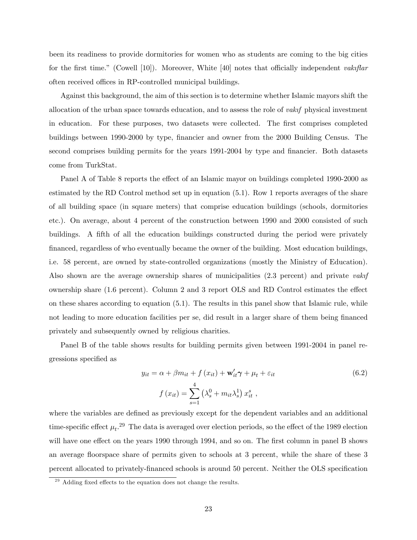been its readiness to provide dormitories for women who as students are coming to the big cities for the first time." (Cowell [10]). Moreover, White [40] notes that officially independent *vakiftar* often received offices in RP-controlled municipal buildings.

Against this background, the aim of this section is to determine whether Islamic mayors shift the allocation of the urban space towards education, and to assess the role of *vakif* physical investment in education. For these purposes, two datasets were collected. The first comprises completed buildings between 1990-2000 by type, financier and owner from the 2000 Building Census. The second comprises building permits for the years 1991-2004 by type and financier. Both datasets come from TurkStat.

Panel A of Table 8 reports the effect of an Islamic mayor on buildings completed 1990-2000 as estimated by the RD Control method set up in equation (5.1). Row 1 reports averages of the share of all building space (in square meters) that comprise education buildings (schools, dormitories etc.). On average, about 4 percent of the construction between 1990 and 2000 consisted of such buildings. A fifth of all the education buildings constructed during the period were privately Önanced, regardless of who eventually became the owner of the building. Most education buildings, i.e. 58 percent, are owned by state-controlled organizations (mostly the Ministry of Education). Also shown are the average ownership shares of municipalities  $(2.3$  percent) and private *vakif* ownership share  $(1.6 \text{ percent})$ . Column 2 and 3 report OLS and RD Control estimates the effect on these shares according to equation (5.1). The results in this panel show that Islamic rule, while not leading to more education facilities per se, did result in a larger share of them being financed privately and subsequently owned by religious charities.

Panel B of the table shows results for building permits given between 1991-2004 in panel regressions specified as

$$
y_{it} = \alpha + \beta m_{it} + f(x_{it}) + \mathbf{w}'_{it}\gamma + \mu_t + \varepsilon_{it}
$$
  

$$
f(x_{it}) = \sum_{s=1}^{4} \left(\lambda_s^0 + m_{it}\lambda_s^1\right)x_{it}^s,
$$
 (6.2)

where the variables are defined as previously except for the dependent variables and an additional time-specific effect  $\mu_t$ .<sup>29</sup> The data is averaged over election periods, so the effect of the 1989 election will have one effect on the years 1990 through 1994, and so on. The first column in panel B shows an average áoorspace share of permits given to schools at 3 percent, while the share of these 3 percent allocated to privately-financed schools is around 50 percent. Neither the OLS specification

 $29$  Adding fixed effects to the equation does not change the results.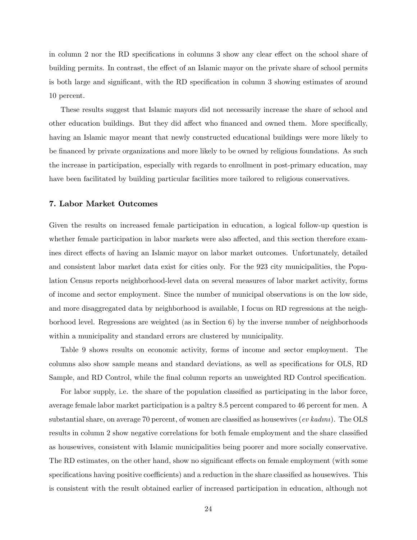in column 2 nor the RD specifications in columns 3 show any clear effect on the school share of building permits. In contrast, the effect of an Islamic mayor on the private share of school permits is both large and significant, with the RD specification in column 3 showing estimates of around 10 percent.

These results suggest that Islamic mayors did not necessarily increase the share of school and other education buildings. But they did affect who financed and owned them. More specifically, having an Islamic mayor meant that newly constructed educational buildings were more likely to be financed by private organizations and more likely to be owned by religious foundations. As such the increase in participation, especially with regards to enrollment in post-primary education, may have been facilitated by building particular facilities more tailored to religious conservatives.

#### 7. Labor Market Outcomes

Given the results on increased female participation in education, a logical follow-up question is whether female participation in labor markets were also affected, and this section therefore examines direct effects of having an Islamic mayor on labor market outcomes. Unfortunately, detailed and consistent labor market data exist for cities only. For the 923 city municipalities, the Population Census reports neighborhood-level data on several measures of labor market activity, forms of income and sector employment. Since the number of municipal observations is on the low side, and more disaggregated data by neighborhood is available, I focus on RD regressions at the neighborhood level. Regressions are weighted (as in Section 6) by the inverse number of neighborhoods within a municipality and standard errors are clustered by municipality.

Table 9 shows results on economic activity, forms of income and sector employment. The columns also show sample means and standard deviations, as well as specifications for OLS, RD Sample, and RD Control, while the final column reports an unweighted RD Control specification.

For labor supply, i.e. the share of the population classified as participating in the labor force, average female labor market participation is a paltry 8.5 percent compared to 46 percent for men. A substantial share, on average 70 percent, of women are classified as housewives  $(ev\ kadm)$ . The OLS results in column 2 show negative correlations for both female employment and the share classified as housewives, consistent with Islamic municipalities being poorer and more socially conservative. The RD estimates, on the other hand, show no significant effects on female employment (with some specifications having positive coefficients) and a reduction in the share classified as housewives. This is consistent with the result obtained earlier of increased participation in education, although not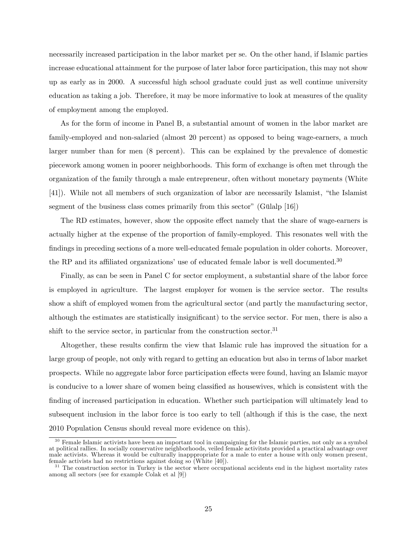necessarily increased participation in the labor market per se. On the other hand, if Islamic parties increase educational attainment for the purpose of later labor force participation, this may not show up as early as in 2000. A successful high school graduate could just as well continue university education as taking a job. Therefore, it may be more informative to look at measures of the quality of employment among the employed.

As for the form of income in Panel B, a substantial amount of women in the labor market are family-employed and non-salaried (almost 20 percent) as opposed to being wage-earners, a much larger number than for men (8 percent). This can be explained by the prevalence of domestic piecework among women in poorer neighborhoods. This form of exchange is often met through the organization of the family through a male entrepreneur, often without monetary payments (White [41]). While not all members of such organization of labor are necessarily Islamist, "the Islamist" segment of the business class comes primarily from this sector" (Gülalp  $[16]$ )

The RD estimates, however, show the opposite effect namely that the share of wage-earners is actually higher at the expense of the proportion of family-employed. This resonates well with the findings in preceding sections of a more well-educated female population in older cohorts. Moreover, the RP and its affiliated organizations' use of educated female labor is well documented.<sup>30</sup>

Finally, as can be seen in Panel C for sector employment, a substantial share of the labor force is employed in agriculture. The largest employer for women is the service sector. The results show a shift of employed women from the agricultural sector (and partly the manufacturing sector, although the estimates are statistically insignificant) to the service sector. For men, there is also a shift to the service sector, in particular from the construction sector.<sup>31</sup>

Altogether, these results confirm the view that Islamic rule has improved the situation for a large group of people, not only with regard to getting an education but also in terms of labor market prospects. While no aggregate labor force participation effects were found, having an Islamic mayor is conducive to a lower share of women being classified as housewives, which is consistent with the finding of increased participation in education. Whether such participation will ultimately lead to subsequent inclusion in the labor force is too early to tell (although if this is the case, the next 2010 Population Census should reveal more evidence on this).

 $30$  Female Islamic activists have been an important tool in campaigning for the Islamic parties, not only as a symbol at political rallies. In socially conservative neighborhoods, veiled female activitsts provided a practical advantage over male activists. Whereas it would be culturally inapppropriate for a male to enter a house with only women present, female activists had no restrictions against doing so (White [40]).

<sup>&</sup>lt;sup>31</sup> The construction sector in Turkey is the sector where occupational accidents end in the highest mortality rates among all sectors (see for example Colak et al [9])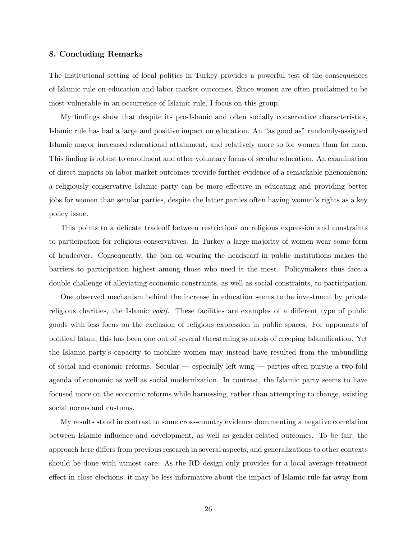#### 8. Concluding Remarks

The institutional setting of local politics in Turkey provides a powerful test of the consequences of Islamic rule on education and labor market outcomes. Since women are often proclaimed to be most vulnerable in an occurrence of Islamic rule, I focus on this group.

My findings show that despite its pro-Islamic and often socially conservative characteristics, Islamic rule has had a large and positive impact on education. An "as good as" randomly-assigned Islamic mayor increased educational attainment, and relatively more so for women than for men. This finding is robust to enrollment and other voluntary forms of secular education. An examination of direct impacts on labor market outcomes provide further evidence of a remarkable phenomenon: a religiously conservative Islamic party can be more effective in educating and providing better jobs for women than secular parties, despite the latter parties often having womenís rights as a key policy issue.

This points to a delicate tradeoff between restrictions on religious expression and constraints to participation for religious conservatives. In Turkey a large majority of women wear some form of headcover. Consequently, the ban on wearing the headscarf in public institutions makes the barriers to participation highest among those who need it the most. Policymakers thus face a double challenge of alleviating economic constraints, as well as social constraints, to participation.

One observed mechanism behind the increase in education seems to be investment by private religious charities, the Islamic *vakif.* These facilities are examples of a different type of public goods with less focus on the exclusion of religious expression in public spaces. For opponents of political Islam, this has been one out of several threatening symbols of creeping Islamification. Yet the Islamic partyís capacity to mobilize women may instead have resulted from the unbundling of social and economic reforms. Secular  $-$  especially left-wing  $-$  parties often pursue a two-fold agenda of economic as well as social modernization. In contrast, the Islamic party seems to have focused more on the economic reforms while harnessing, rather than attempting to change, existing social norms and customs.

My results stand in contrast to some cross-country evidence documenting a negative correlation between Islamic influence and development, as well as gender-related outcomes. To be fair, the approach here differs from previous research in several aspects, and generalizations to other contexts should be done with utmost care. As the RD design only provides for a local average treatment effect in close elections, it may be less informative about the impact of Islamic rule far away from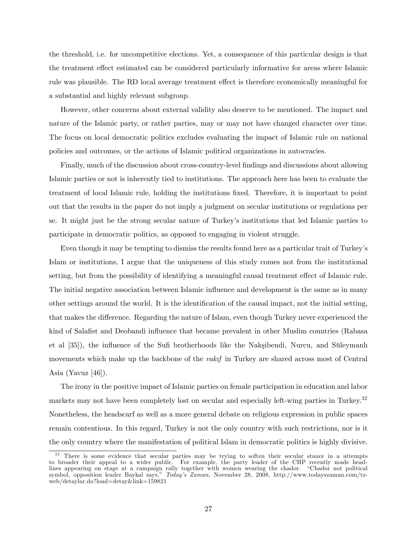the threshold, i.e. for uncompetitive elections. Yet, a consequence of this particular design is that the treatment effect estimated can be considered particularly informative for areas where Islamic rule was plausible. The RD local average treatment effect is therefore economically meaningful for a substantial and highly relevant subgroup.

However, other concerns about external validity also deserve to be mentioned. The impact and nature of the Islamic party, or rather parties, may or may not have changed character over time. The focus on local democratic politics excludes evaluating the impact of Islamic rule on national policies and outcomes, or the actions of Islamic political organizations in autocracies.

Finally, much of the discussion about cross-country-level Öndings and discussions about allowing Islamic parties or not is inherently tied to institutions. The approach here has been to evaluate the treatment of local Islamic rule, holding the institutions Öxed. Therefore, it is important to point out that the results in the paper do not imply a judgment on secular institutions or regulations per se. It might just be the strong secular nature of Turkeyís institutions that led Islamic parties to participate in democratic politics, as opposed to engaging in violent struggle.

Even though it may be tempting to dismiss the results found here as a particular trait of Turkey's Islam or institutions, I argue that the uniqueness of this study comes not from the institutional setting, but from the possibility of identifying a meaningful causal treatment effect of Islamic rule. The initial negative association between Islamic influence and development is the same as in many other settings around the world. It is the identification of the causal impact, not the initial setting, that makes the difference. Regarding the nature of Islam, even though Turkey never experienced the kind of Salafist and Deobandi influence that became prevalent in other Muslim countries (Rabasa et al  $[35]$ , the influence of the Sufi brotherhoods like the Naksibendi, Nurcu, and Süleymanlı movements which make up the backbone of the *vakif* in Turkey are shared across most of Central Asia (Yavuz [46]).

The irony in the positive impact of Islamic parties on female participation in education and labor markets may not have been completely lost on secular and especially left-wing parties in Turkey.<sup>32</sup> Nonetheless, the headscarf as well as a more general debate on religious expression in public spaces remain contentious. In this regard, Turkey is not the only country with such restrictions, nor is it the only country where the manifestation of political Islam in democratic politics is highly divisive.

<sup>&</sup>lt;sup>32</sup> There is some evidence that secular parties may be trying to soften their secular stance in a attempts to broader their appeal to a wider public. For example, the party leader of the CHP recently made headlines appearing on stage at a campaign rally together with women wearing the chador. "Chador not political symbol, opposition leader Baykal says," Today's Zaman, November 28, 2008, http://www.todayszaman.com/tzweb/detaylar.do?load=detay&link=159821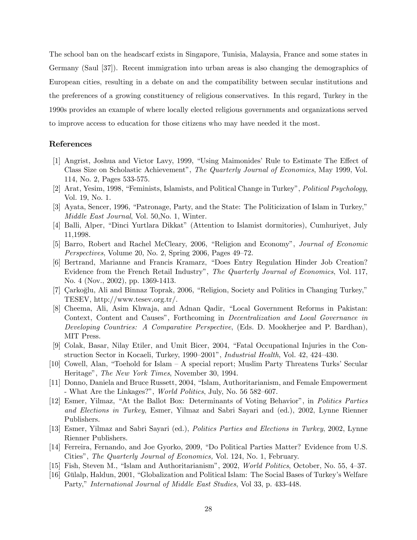The school ban on the headscarf exists in Singapore, Tunisia, Malaysia, France and some states in Germany (Saul [37]). Recent immigration into urban areas is also changing the demographics of European cities, resulting in a debate on and the compatibility between secular institutions and the preferences of a growing constituency of religious conservatives. In this regard, Turkey in the 1990s provides an example of where locally elected religious governments and organizations served to improve access to education for those citizens who may have needed it the most.

#### References

- [1] Angrist, Joshua and Victor Lavy, 1999, "Using Maimonides' Rule to Estimate The Effect of Class Size on Scholastic Achievement", The Quarterly Journal of Economics, May 1999, Vol. 114, No. 2, Pages 533-575.
- [2] Arat, Yesim, 1998, "Feminists, Islamists, and Political Change in Turkey", *Political Psychology*, Vol. 19, No. 1.
- [3] Ayata, Sencer, 1996, "Patronage, Party, and the State: The Politicization of Islam in Turkey," Middle East Journal, Vol. 50,No. 1, Winter.
- [4] Balli, Alper, "Dinci Yurtlara Dikkat" (Attention to Islamist dormitories), Cumhuriyet, July 11,1998.
- [5] Barro, Robert and Rachel McCleary, 2006, "Religion and Economy", *Journal of Economic Perspectives*, Volume 20, No. 2, Spring 2006, Pages  $49-72$ .
- [6] Bertrand, Marianne and Francis Kramarz, "Does Entry Regulation Hinder Job Creation? Evidence from the French Retail Industry", The Quarterly Journal of Economics, Vol. 117, No. 4 (Nov., 2002), pp. 1369-1413.
- [7] Carkoglu, Ali and Binnaz Toprak, 2006, "Religion, Society and Politics in Changing Turkey," TESEV, http://www.tesev.org.tr/.
- [8] Cheema, Ali, Asim Khwaja, and Adnan Qadir, "Local Government Reforms in Pakistan: Context, Content and Causes", Forthcoming in Decentralization and Local Governance in Developing Countries: A Comparative Perspective, (Eds. D. Mookherjee and P. Bardhan), MIT Press.
- [9] Colak, Basar, Nilay Etiler, and Umit Bicer, 2004, "Fatal Occupational Injuries in the Construction Sector in Kocaeli, Turkey, 1990–2001<sup>°</sup>, *Industrial Health*, Vol. 42, 424–430.
- [10] Cowell, Alan, "Toehold for Islam  $-$  A special report; Muslim Party Threatens Turks' Secular Heritage", *The New York Times*, November 30, 1994.
- [11] Donno, Daniela and Bruce Russett, 2004, "Islam, Authoritarianism, and Female Empowerment - What Are the Linkages?", World Politics, July, No. 56 582-607.
- [12] Esmer, Yilmaz, "At the Ballot Box: Determinants of Voting Behavior", in Politics Parties and Elections in Turkey, Esmer, Yilmaz and Sabri Sayari and (ed.), 2002, Lynne Rienner Publishers.
- [13] Esmer, Yilmaz and Sabri Sayari (ed.), Politics Parties and Elections in Turkey, 2002, Lynne Rienner Publishers.
- [14] Ferreira, Fernando, and Joe Gyorko, 2009, "Do Political Parties Matter? Evidence from U.S. Cities", The Quarterly Journal of Economics, Vol. 124, No. 1, February.
- [15] Fish, Steven M., "Islam and Authoritarianism", 2002, *World Politics*, October, No.  $55, 4-37$ .
- [16] Gülalp, Haldun, 2001, "Globalization and Political Islam: The Social Bases of Turkey's Welfare Party," International Journal of Middle East Studies, Vol 33, p. 433-448.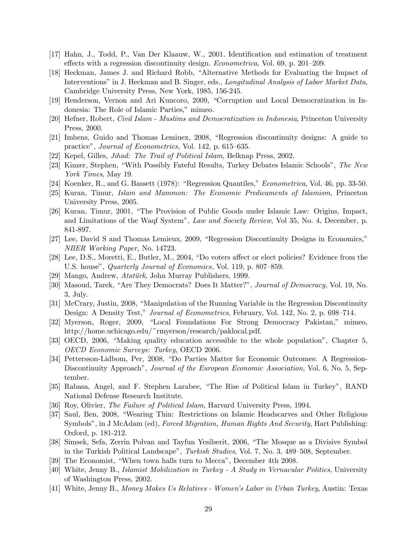- [17] Hahn, J., Todd, P., Van Der Klaauw, W., 2001. Identification and estimation of treatment effects with a regression discontinuity design. *Econometrica*, Vol. 69, p. 201–209.
- [18] Heckman, James J. and Richard Robb, "Alternative Methods for Evaluating the Impact of Interventions" in J. Heckman and B. Singer, eds., *Longitudinal Analysis of Labor Market Data*, Cambridge University Press, New York, 1985, 156-245.
- [19] Henderson, Vernon and Ari Kuncoro, 2009, "Corruption and Local Democratization in Indonesia: The Role of Islamic Parties," mimeo.
- [20] Hefner, Robert, Civil Islam Muslims and Democratization in Indonesia, Princeton University Press, 2000.
- [21] Imbens, Guido and Thomas Lemiuex, 2008, "Regression discontinuity designs: A guide to practice", Journal of Econometrics, Vol. 142, p. 615–635.
- [22] Kepel, Gilles, Jihad: The Trail of Political Islam, Belknap Press, 2002.
- [23] Kinzer, Stephen, "With Possibly Fateful Results, Turkey Debates Islamic Schools", The New York Times, May 19.
- [24] Koenker, R., and G. Bassett (1978): "Regression Quantiles," *Econometrica*, Vol. 46, pp. 33-50.
- [25] Kuran, Timur, Islam and Mammon: The Economic Predicaments of Islamism, Princeton University Press, 2005.
- [26] Kuran, Timur, 2001, "The Provision of Public Goods under Islamic Law: Origins, Impact, and Limitations of the Waqf System", Law and Society Review, Vol 35, No. 4, December, p. 841-897.
- [27] Lee, David S and Thomas Lemieux, 2009, "Regression Discontinuity Designs in Economics," NBER Working Paper, No. 14723.
- [28] Lee, D.S., Moretti, E., Butler, M., 2004, "Do voters affect or elect policies? Evidence from the U.S. house", *Quarterly Journal of Economics*, Vol. 119, p. 807–859.
- [29] Mango, Andrew, Atatürk, John Murray Publishers, 1999.
- [30] Masoud, Tarek, "Are They Democrats? Does It Matter?", Journal of Democracy, Vol. 19, No. 3, July.
- [31] McCrary, Justin, 2008, "Manipulation of the Running Variable in the Regression Discontinuity Design: A Density Test," Journal of Econometrics, February, Vol. 142, No. 2, p. 698–714.
- [32] Myerson, Roger, 2009, "Local Foundations For Strong Democracy Pakistan," mimeo, http://home.uchicago.edu/~rmyerson/research/paklocal.pdf.
- [33] OECD, 2006, "Making quality education accessible to the whole population", Chapter 5, OECD Economic Surveys: Turkey, OECD 2006.
- [34] Pettersson-Lidbom, Per, 2008, "Do Parties Matter for Economic Outcomes: A Regression-Discontinuity Approach", Journal of the European Economic Association, Vol. 6, No. 5, September.
- [35] Rabasa, Angel, and F. Stephen Larabee, "The Rise of Political Islam in Turkey", RAND National Defense Research Institute.
- [36] Roy, Olivier, The Failure of Political Islam, Harvard University Press, 1994.
- [37] Saul, Ben, 2008, "Wearing Thin: Restrictions on Islamic Headscarves and Other Religious Symbols", in J McAdam (ed), Forced Migration, Human Rights And Security, Hart Publishing: Oxford, p. 181-212.
- [38] Simsek, Sefa, Zerrin Polvan and Tayfun Yesilserit, 2006, "The Mosque as a Divisive Symbol in the Turkish Political Landscape", *Turkish Studies*, Vol. 7, No. 3,  $489-508$ , September.
- [39] The Economist, "When town halls turn to Mecca", December 4th 2008.
- [40] White, Jenny B., Islamist Mobilization in Turkey A Study in Vernacular Politics, University of Washington Press, 2002.
- [41] White, Jenny B., Money Makes Us Relatives Womenís Labor in Urban Turkey, Austin: Texas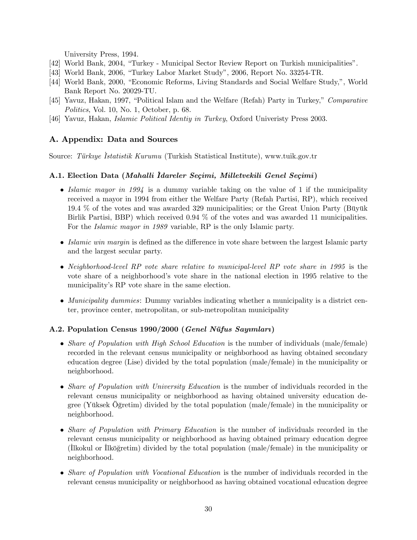University Press, 1994.

- [42] World Bank, 2004, "Turkey Municipal Sector Review Report on Turkish municipalities".
- [43] World Bank, 2006, "Turkey Labor Market Study", 2006, Report No. 33254-TR.
- [44] World Bank, 2000, "Economic Reforms, Living Standards and Social Welfare Study,", World Bank Report No. 20029-TU.
- [45] Yavuz, Hakan, 1997, "Political Islam and the Welfare (Refah) Party in Turkey," Comparative Politics, Vol. 10, No. 1, October, p. 68.
- [46] Yavuz, Hakan, Islamic Political Identiy in Turkey, Oxford Univeristy Press 2003.

## A. Appendix: Data and Sources

Source: Türkiye Istatistik Kurumu (Turkish Statistical Institute), www.tuik.gov.tr

#### A.1. Election Data (Mahalli Idareler Seçimi, Milletvekili Genel Seçimi)

- Islamic mayor in 1994 is a dummy variable taking on the value of 1 if the municipality received a mayor in 1994 from either the Welfare Party (Refah Partisi, RP), which received 19.4 % of the votes and was awarded 329 municipalities; or the Great Union Party (Büyük Birlik Partisi, BBP) which received 0.94 % of the votes and was awarded 11 municipalities. For the *Islamic mayor in 1989* variable, RP is the only Islamic party.
- $\bullet$  Islamic win margin is defined as the difference in vote share between the largest Islamic party and the largest secular party.
- Neighborhood-level RP vote share relative to municipal-level RP vote share in 1995 is the vote share of a neighborhoodís vote share in the national election in 1995 relative to the municipality's RP vote share in the same election.
- Municipality dummies: Dummy variables indicating whether a municipality is a district center, province center, metropolitan, or sub-metropolitan municipality

## A.2. Population Census 1990/2000 (Genel Nüfus Sayımları)

- Share of Population with High School Education is the number of individuals (male/female) recorded in the relevant census municipality or neighborhood as having obtained secondary education degree (Lise) divided by the total population (male/female) in the municipality or neighborhood.
- Share of Population with University Education is the number of individuals recorded in the relevant census municipality or neighborhood as having obtained university education degree (Yüksek Oğretim) divided by the total population (male/female) in the municipality or neighborhood.
- Share of Population with Primary Education is the number of individuals recorded in the relevant census municipality or neighborhood as having obtained primary education degree (Ilkokul or Ilkögretim) divided by the total population (male/female) in the municipality or neighborhood.
- Share of Population with Vocational Education is the number of individuals recorded in the relevant census municipality or neighborhood as having obtained vocational education degree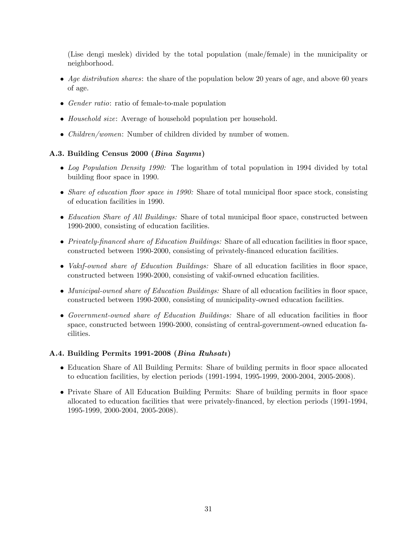(Lise dengi meslek) divided by the total population (male/female) in the municipality or neighborhood.

- $\bullet$  Age distribution shares: the share of the population below 20 years of age, and above 60 years of age.
- Gender ratio: ratio of female-to-male population
- *Household size:* Average of household population per household.
- *Children/women*: Number of children divided by number of women.

## A.3. Building Census 2000 (Bina Sayımı)

- Log Population Density 1990: The logarithm of total population in 1994 divided by total building floor space in 1990.
- Share of education floor space in 1990: Share of total municipal floor space stock, consisting of education facilities in 1990.
- Education Share of All Buildings: Share of total municipal floor space, constructed between 1990-2000, consisting of education facilities.
- $\bullet$  Privately-financed share of Education Buildings: Share of all education facilities in floor space, constructed between 1990-2000, consisting of privately-Önanced education facilities.
- Vakif-owned share of Education Buildings: Share of all education facilities in floor space, constructed between 1990-2000, consisting of vakif-owned education facilities.
- Municipal-owned share of Education Buildings: Share of all education facilities in floor space, constructed between 1990-2000, consisting of municipality-owned education facilities.
- Government-owned share of Education Buildings: Share of all education facilities in floor space, constructed between 1990-2000, consisting of central-government-owned education facilities.

## A.4. Building Permits 1991-2008 (Bina Ruhsatı)

- Education Share of All Building Permits: Share of building permits in floor space allocated to education facilities, by election periods (1991-1994, 1995-1999, 2000-2004, 2005-2008).
- Private Share of All Education Building Permits: Share of building permits in floor space allocated to education facilities that were privately-Önanced, by election periods (1991-1994, 1995-1999, 2000-2004, 2005-2008).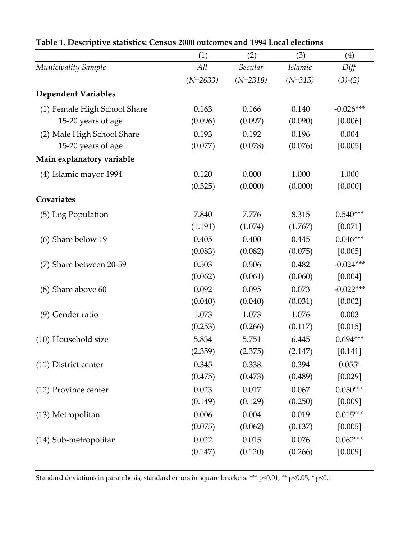|                              | (1)        | (2)        | (3)            | (4)         |
|------------------------------|------------|------------|----------------|-------------|
| Municipality Sample          | All        | Secular    | <b>Islamic</b> | Diff        |
|                              | $(N=2633)$ | $(N=2318)$ | $(N=315)$      | $(3)-(2)$   |
| Dependent Variables          |            |            |                |             |
| (1) Female High School Share | 0.163      | 0.166      | 0.140          | $-0.026***$ |
| 15-20 years of age           | (0.096)    | (0.097)    | (0.090)        | [0.006]     |
| (2) Male High School Share   | 0.193      | 0.192      | 0.196          | 0.004       |
| 15-20 years of age           | (0.077)    | (0.078)    | (0.076)        | [0.005]     |
| Main explanatory variable    |            |            |                |             |
| (4) Islamic mayor 1994       | 0.120      | 0.000      | 1.000          | 1.000       |
|                              | (0.325)    | (0.000)    | (0.000)        | [0.000]     |
| Covariates                   |            |            |                |             |
| (5) Log Population           | 7.840      | 7.776      | 8.315          | $0.540***$  |
|                              | (1.191)    | (1.074)    | (1.767)        | [0.071]     |
| (6) Share below 19           | 0.405      | 0.400      | 0.445          | $0.046***$  |
|                              | (0.083)    | (0.082)    | (0.075)        | [0.005]     |
| (7) Share between 20-59      | 0.503      | 0.506      | 0.482          | $-0.024***$ |
|                              | (0.062)    | (0.061)    | (0.060)        | [0.004]     |
| (8) Share above 60           | 0.092      | 0.095      | 0.073          | $-0.022***$ |
|                              | (0.040)    | (0.040)    | (0.031)        | [0.002]     |
| (9) Gender ratio             | 1.073      | 1.073      | 1.076          | 0.003       |
|                              | (0.253)    | (0.266)    | (0.117)        | [0.015]     |
| (10) Household size          | 5.834      | 5.751      | 6.445          | $0.694***$  |
|                              | (2.359)    | (2.375)    | (2.147)        | [0.141]     |
| (11) District center         | 0.345      | 0.338      | 0.394          | $0.055*$    |
|                              | (0.475)    | (0.473)    | (0.489)        | [0.029]     |
| (12) Province center         | 0.023      | 0.017      | 0.067          | $0.050***$  |
|                              | (0.149)    | (0.129)    | (0.250)        | [0.009]     |
| (13) Metropolitan            | 0.006      | 0.004      | 0.019          | $0.015***$  |
|                              | (0.075)    | (0.062)    | (0.137)        | [0.005]     |
| (14) Sub-metropolitan        | 0.022      | 0.015      | 0.076          | $0.062***$  |
|                              | (0.147)    | (0.120)    | (0.266)        | [0.009]     |
|                              |            |            |                |             |

# **Table 1. Descriptive statistics: Census 2000 outcomes and 1994 Local elections**

Standard deviations in paranthesis, standard errors in square brackets. \*\*\* p<0.01, \*\* p<0.05, \* p<0.1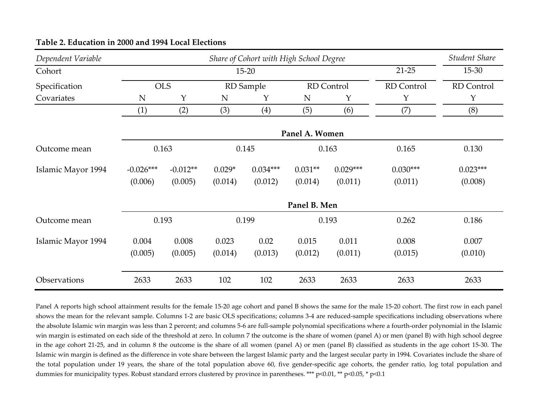| Dependent Variable | Share of Cohort with High School Degree |            |          |            |                |            |            | Student Share |  |
|--------------------|-----------------------------------------|------------|----------|------------|----------------|------------|------------|---------------|--|
| Cohort             |                                         |            |          | $15 - 20$  |                |            | $21 - 25$  | 15-30         |  |
| Specification      | <b>OLS</b>                              |            |          | RD Sample  |                | RD Control | RD Control | RD Control    |  |
| Covariates         | N                                       | Y          | N        | Y          | N              | Y          | Y          | Y             |  |
|                    | (1)                                     | (2)        | (3)      | (4)        | (5)            | (6)        | (7)        | (8)           |  |
|                    |                                         |            |          |            | Panel A. Women |            |            |               |  |
| Outcome mean       | 0.163                                   |            |          | 0.145      | 0.163          |            | 0.165      | 0.130         |  |
| Islamic Mayor 1994 | $-0.026***$                             | $-0.012**$ | $0.029*$ | $0.034***$ | $0.031**$      | $0.029***$ | $0.030***$ | $0.023***$    |  |
|                    | (0.006)                                 | (0.005)    | (0.014)  | (0.012)    | (0.014)        | (0.011)    | (0.011)    | (0.008)       |  |
|                    | Panel B. Men                            |            |          |            |                |            |            |               |  |
| Outcome mean       | 0.193                                   |            |          | 0.199      | 0.193          |            | 0.262      | 0.186         |  |
| Islamic Mayor 1994 | 0.004                                   | 0.008      | 0.023    | 0.02       | 0.015          | 0.011      | 0.008      | 0.007         |  |
|                    | (0.005)                                 | (0.005)    | (0.014)  | (0.013)    | (0.012)        | (0.011)    | (0.015)    | (0.010)       |  |
| Observations       | 2633                                    | 2633       | 102      | 102        | 2633           | 2633       | 2633       | 2633          |  |

## **Table 2. Education in 2000 and 1994 Local Elections**

Panel A reports high school attainment results for the female 15‐20 age cohort and panel B shows the same for the male 15‐20 cohort. The first row in each panel shows the mean for the relevant sample. Columns 1-2 are basic OLS specifications; columns 3-4 are reduced-sample specifications including observations where the absolute Islamic win margin was less than 2 percent; and columns 5-6 are full-sample polynomial specifications where a fourth-order polynomial in the Islamic win margin is estimated on each side of the threshold at zero. In column 7 the outcome is the share of women (panel A) or men (panel B) with high school degree in the age cohort <sup>21</sup>‐25, and in column <sup>8</sup> the outcome is the share of all women (panel A) or men (panel B) classified as students in the age cohort 15‐30. The Islamic win margin is defined as the difference in vote share between the largest Islamic party and the largest secular party in 1994. Covariates include the share of the total population under 19 years, the share of the total population above 60, five gender-specific age cohorts, the gender ratio, log total population and dummies for municipality types. Robust standard errors clustered by province in parentheses. \*\*\* p<0.01, \*\* p<0.05, \* p<0.1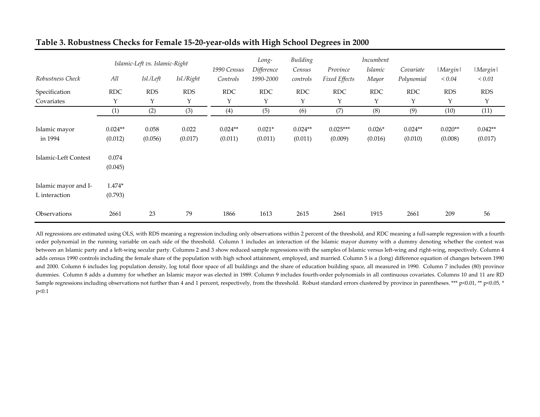|                                                  |                                          | Islamic-Left vs. Islamic-Right |                  | 1990 Census          | Long-<br>Difference | Building<br>Census   | Province              | Incumbent<br><i>Islamic</i> | Covariate            | <i>Margin</i>        | <i>Margin</i>        |
|--------------------------------------------------|------------------------------------------|--------------------------------|------------------|----------------------|---------------------|----------------------|-----------------------|-----------------------------|----------------------|----------------------|----------------------|
| Robustness Check                                 | All                                      | Isl./Left                      | Isl./Right       | Controls             | 1990-2000           | controls             | Fixed Effects         | Mayor                       | Polynomial           | ${}_{< 0.04}$        | ${}_{< 0.01}$        |
| Specification                                    | <b>RDC</b>                               | <b>RDS</b>                     | <b>RDS</b>       | <b>RDC</b>           | <b>RDC</b>          | <b>RDC</b>           | <b>RDC</b>            | <b>RDC</b>                  | <b>RDC</b>           | <b>RDS</b>           | <b>RDS</b>           |
| Covariates                                       | Y                                        | Υ                              | Y                | Υ                    | Y                   | Υ                    | Υ                     | Y                           | Y                    | Υ                    | Υ                    |
|                                                  | (1)                                      | (2)                            | (3)              | (4)                  | (5)                 | (6)                  | (7)                   | (8)                         | (9)                  | (10)                 | (11)                 |
| Islamic mayor<br>in 1994<br>Islamic-Left Contest | $0.024**$<br>(0.012)<br>0.074<br>(0.045) | 0.058<br>(0.056)               | 0.022<br>(0.017) | $0.024**$<br>(0.011) | $0.021*$<br>(0.011) | $0.024**$<br>(0.011) | $0.025***$<br>(0.009) | $0.026*$<br>(0.016)         | $0.024**$<br>(0.010) | $0.020**$<br>(0.008) | $0.042**$<br>(0.017) |
| Islamic mayor and I-<br>L interaction            | $1.474*$<br>(0.793)                      |                                |                  |                      |                     |                      |                       |                             |                      |                      |                      |
| Observations                                     | 2661                                     | 23                             | 79               | 1866                 | 1613                | 2615                 | 2661                  | 1915                        | 2661                 | 209                  | 56                   |

# **Table 3. Robustness Checks for Female 15‐20‐year‐olds with High School Degrees in <sup>2000</sup>**

All regressions are estimated using OLS, with RDS meaning a regression including only observations within 2 percent of the threshold, and RDC meaning a full-sample regression with a fourth‐ order polynomial in the running variable on each side of the threshold. Column <sup>1</sup> includes an interaction of the Islamic mayor dummy with <sup>a</sup> dummy denoting whether the contest was between an Islamic party and a left-wing secular party. Columns 2 and 3 show reduced sample regressions with the samples of Islamic versus left-wing and right-wing, respectively. Column 4 adds census 1990 controls including the female share of the population with high school attainment, employed, and married. Column <sup>5</sup> is <sup>a</sup> (long) difference equation of changes between 1990 and 2000. Column 6 includes log population density, log total floor space of all buildings and the share of education building space, all measured in 1990. Column 7 includes (80) province dummies. Column 8 adds a dummy for whether an Islamic mayor was elected in 1989. Column 9 includes fourth-order polynomials in all continuous covariates. Columns 10 and 11 are RD Sample regressions including observations not further than 4 and 1 percent, respectively, from the threshold. Robust standard errors clustered by province in parentheses. \*\*\* p<0.01, \*\* p<0.05, \* p<0.1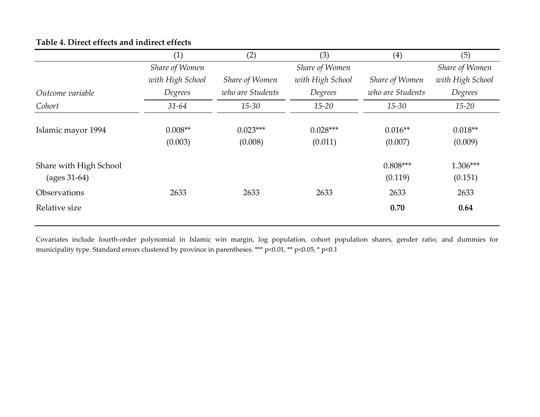|                                          | (1)                  | (2)                   | (3)                   | $\left( 4\right)$     | (5)                  |
|------------------------------------------|----------------------|-----------------------|-----------------------|-----------------------|----------------------|
|                                          | Share of Women       |                       | Share of Women        |                       | Share of Women       |
|                                          | with High School     | Share of Women        | with High School      | Share of Women        | with High School     |
| Outcome variable                         | Degrees              | who are Students      | Degrees               | who are Students      | Degrees              |
| Cohort                                   | $31 - 64$            | $15 - 30$             | $15 - 20$             | $15 - 30$             | $15 - 20$            |
| Islamic mayor 1994                       | $0.008**$<br>(0.003) | $0.023***$<br>(0.008) | $0.028***$<br>(0.011) | $0.016**$<br>(0.007)  | $0.018**$<br>(0.009) |
| Share with High School<br>$(ages 31-64)$ |                      |                       |                       | $0.808***$<br>(0.119) | 1.306***<br>(0.151)  |
| Observations                             | 2633                 | 2633                  | 2633                  | 2633                  | 2633                 |
| Relative size                            |                      |                       |                       | 0.70                  | 0.64                 |

# **Table 4. Direct effects and indirect effects**

Covariates include fourth‐order polynomial in Islamic win margin, log population, cohort population shares, gender ratio, and dummies for municipality type. Standard errors clustered by province in parentheses. \*\*\* p<0.01, \*\* p<0.05, \* p<0.1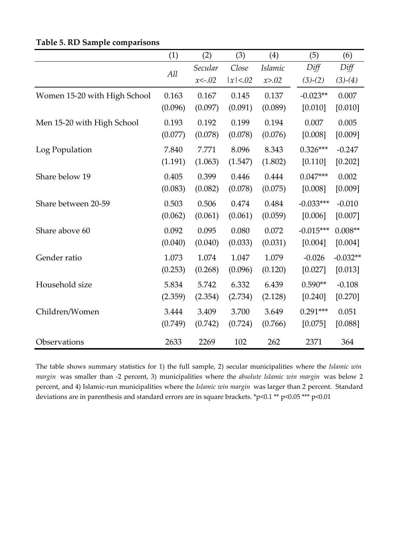|                              | (1)     | (2)      | (3)      | (4)            | (5)         | (6)        |
|------------------------------|---------|----------|----------|----------------|-------------|------------|
|                              | All     | Secular  | Close    | <b>Islamic</b> | Diff        | Diff       |
|                              |         | $x<-.02$ | x  < .02 | x > .02        | $(3)-(2)$   | $(3)-(4)$  |
| Women 15-20 with High School | 0.163   | 0.167    | 0.145    | 0.137          | $-0.023**$  | 0.007      |
|                              | (0.096) | (0.097)  | (0.091)  | (0.089)        | [0.010]     | [0.010]    |
| Men 15-20 with High School   | 0.193   | 0.192    | 0.199    | 0.194          | 0.007       | 0.005      |
|                              | (0.077) | (0.078)  | (0.078)  | (0.076)        | [0.008]     | [0.009]    |
| Log Population               | 7.840   | 7.771    | 8.096    | 8.343          | $0.326***$  | $-0.247$   |
|                              | (1.191) | (1.063)  | (1.547)  | (1.802)        | [0.110]     | [0.202]    |
| Share below 19               | 0.405   | 0.399    | 0.446    | 0.444          | $0.047***$  | 0.002      |
|                              | (0.083) | (0.082)  | (0.078)  | (0.075)        | [0.008]     | [0.009]    |
| Share between 20-59          | 0.503   | 0.506    | 0.474    | 0.484          | $-0.033***$ | $-0.010$   |
|                              | (0.062) | (0.061)  | (0.061)  | (0.059)        | [0.006]     | [0.007]    |
| Share above 60               | 0.092   | 0.095    | 0.080    | 0.072          | $-0.015***$ | $0.008**$  |
|                              | (0.040) | (0.040)  | (0.033)  | (0.031)        | [0.004]     | [0.004]    |
| Gender ratio                 | 1.073   | 1.074    | 1.047    | 1.079          | $-0.026$    | $-0.032**$ |
|                              | (0.253) | (0.268)  | (0.096)  | (0.120)        | [0.027]     | [0.013]    |
| Household size               | 5.834   | 5.742    | 6.332    | 6.439          | $0.590**$   | $-0.108$   |
|                              | (2.359) | (2.354)  | (2.734)  | (2.128)        | [0.240]     | [0.270]    |
| Children/Women               | 3.444   | 3.409    | 3.700    | 3.649          | $0.291***$  | 0.051      |
|                              | (0.749) | (0.742)  | (0.724)  | (0.766)        | [0.075]     | [0.088]    |
| Observations                 | 2633    | 2269     | 102      | 262            | 2371        | 364        |

**Table 5. RD Sample comparisons**

The table shows summary statistics for 1) the full sample, 2) secular municipalities where the *Islamic win margin* was smaller than ‐2 percent, 3) municipalities where the *absolute Islamic win margin* was below 2 percent, and 4) Islamic‐run municipalities where the *Islamic win margin* was larger than 2 percent. Standard deviations are in parenthesis and standard errors are in square brackets. \*p<0.1 \*\* p<0.05 \*\*\* p<0.01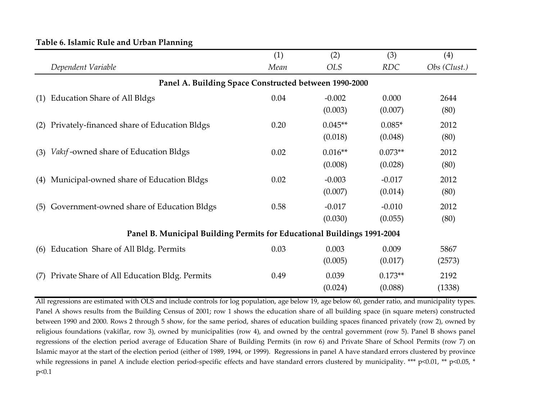|     |                                                                         | (1)  | (2)                  | (3)                  | (4)            |  |  |  |  |  |  |
|-----|-------------------------------------------------------------------------|------|----------------------|----------------------|----------------|--|--|--|--|--|--|
|     | Dependent Variable                                                      | Mean | <i>OLS</i>           | <b>RDC</b>           | Obs (Clust.)   |  |  |  |  |  |  |
|     | Panel A. Building Space Constructed between 1990-2000                   |      |                      |                      |                |  |  |  |  |  |  |
| (1) | <b>Education Share of All Bldgs</b>                                     | 0.04 | $-0.002$<br>(0.003)  | 0.000<br>(0.007)     | 2644<br>(80)   |  |  |  |  |  |  |
| (2) | Privately-financed share of Education Bldgs                             | 0.20 | $0.045**$<br>(0.018) | $0.085*$<br>(0.048)  | 2012<br>(80)   |  |  |  |  |  |  |
| (3) | <i>Vakif</i> -owned share of Education Bldgs                            | 0.02 | $0.016**$<br>(0.008) | $0.073**$<br>(0.028) | 2012<br>(80)   |  |  |  |  |  |  |
| (4) | Municipal-owned share of Education Bldgs                                | 0.02 | $-0.003$<br>(0.007)  | $-0.017$<br>(0.014)  | 2012<br>(80)   |  |  |  |  |  |  |
| (5) | Government-owned share of Education Bldgs                               | 0.58 | $-0.017$<br>(0.030)  | $-0.010$<br>(0.055)  | 2012<br>(80)   |  |  |  |  |  |  |
|     | Panel B. Municipal Building Permits for Educational Buildings 1991-2004 |      |                      |                      |                |  |  |  |  |  |  |
| (6) | Education Share of All Bldg. Permits                                    | 0.03 | 0.003<br>(0.005)     | 0.009<br>(0.017)     | 5867<br>(2573) |  |  |  |  |  |  |
| (7) | Private Share of All Education Bldg. Permits                            | 0.49 | 0.039<br>(0.024)     | $0.173**$<br>(0.088) | 2192<br>(1338) |  |  |  |  |  |  |

# **Table 6. Islamic Rule and Urban Planning**

All regressions are estimated with OLS and include controls for log population, age below 19, age below 60, gender ratio, and municipality types. Panel A shows results from the Building Census of 2001; row <sup>1</sup> shows the education share of all building space (in square meters) constructed between 1990 and 2000. Rows <sup>2</sup> through <sup>5</sup> show, for the same period, shares of education building spaces financed privately (row 2), owned by religious foundations (vakiflar, row 3), owned by municipalities (row 4), and owned by the central governmen<sup>t</sup> (row 5). Panel <sup>B</sup> shows panel regressions of the election period average of Education Share of Building Permits (in row 6) and Private Share of School Permits (row 7) on Islamic mayor at the start of the election period (either of 1989, 1994, or 1999). Regressions in panel A have standard errors clustered by province while regressions in panel A include election period-specific effects and have standard errors clustered by municipality. \*\*\* p<0.01, \*\* p<0.05, \* p<0.1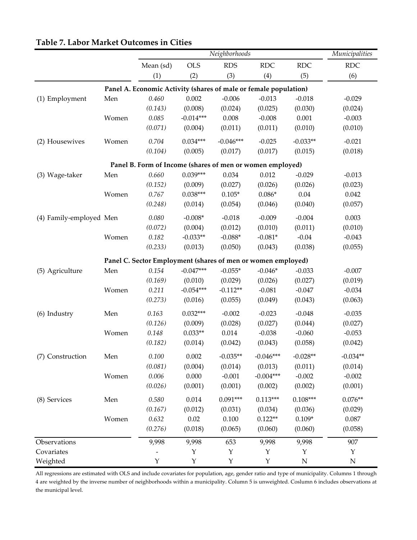|                         |       |                                                                  |             | Neighborhoods |             |            | Municipalities |
|-------------------------|-------|------------------------------------------------------------------|-------------|---------------|-------------|------------|----------------|
|                         |       | Mean (sd)                                                        | <b>OLS</b>  | <b>RDS</b>    | <b>RDC</b>  | <b>RDC</b> | <b>RDC</b>     |
|                         |       | (1)                                                              | (2)         | (3)           | (4)         | (5)        | (6)            |
|                         |       | Panel A. Economic Activity (shares of male or female population) |             |               |             |            |                |
| (1) Employment          | Men   | 0.460                                                            | 0.002       | $-0.006$      | $-0.013$    | $-0.018$   | $-0.029$       |
|                         |       | (0.143)                                                          | (0.008)     | (0.024)       | (0.025)     | (0.030)    | (0.024)        |
|                         | Women | 0.085                                                            | $-0.014***$ | 0.008         | $-0.008$    | 0.001      | $-0.003$       |
|                         |       | (0.071)                                                          | (0.004)     | (0.011)       | (0.011)     | (0.010)    | (0.010)        |
| (2) Housewives          | Women | 0.704                                                            | $0.034***$  | $-0.046***$   | $-0.025$    | $-0.033**$ | $-0.021$       |
|                         |       | (0.104)                                                          | (0.005)     | (0.017)       | (0.017)     | (0.015)    | (0.018)        |
|                         |       | Panel B. Form of Income (shares of men or women employed)        |             |               |             |            |                |
| (3) Wage-taker          | Men   | 0.660                                                            | $0.039***$  | 0.034         | 0.012       | $-0.029$   | $-0.013$       |
|                         |       | (0.152)                                                          | (0.009)     | (0.027)       | (0.026)     | (0.026)    | (0.023)        |
|                         | Women | 0.767                                                            | $0.038***$  | $0.105*$      | $0.086*$    | 0.04       | 0.042          |
|                         |       | (0.248)                                                          | (0.014)     | (0.054)       | (0.046)     | (0.040)    | (0.057)        |
| (4) Family-employed Men |       | 0.080                                                            | $-0.008*$   | $-0.018$      | $-0.009$    | $-0.004$   | 0.003          |
|                         |       | (0.072)                                                          | (0.004)     | (0.012)       | (0.010)     | (0.011)    | (0.010)        |
|                         | Women | 0.182                                                            | $-0.033**$  | $-0.088*$     | $-0.081*$   | $-0.04$    | $-0.043$       |
|                         |       | (0.233)                                                          | (0.013)     | (0.050)       | (0.043)     | (0.038)    | (0.055)        |
|                         |       | Panel C. Sector Employment (shares of men or women employed)     |             |               |             |            |                |
| (5) Agriculture         | Men   | 0.154                                                            | $-0.047***$ | $-0.055*$     | $-0.046*$   | $-0.033$   | $-0.007$       |
|                         |       | (0.169)                                                          | (0.010)     | (0.029)       | (0.026)     | (0.027)    | (0.019)        |
|                         | Women | 0.211                                                            | $-0.054***$ | $-0.112**$    | $-0.081$    | $-0.047$   | $-0.034$       |
|                         |       | (0.273)                                                          | (0.016)     | (0.055)       | (0.049)     | (0.043)    | (0.063)        |
| (6) Industry            | Men   | 0.163                                                            | $0.032***$  | $-0.002$      | $-0.023$    | $-0.048$   | $-0.035$       |
|                         |       | (0.126)                                                          | (0.009)     | (0.028)       | (0.027)     | (0.044)    | (0.027)        |
|                         | Women | 0.148                                                            | $0.033**$   | 0.014         | $-0.038$    | $-0.060$   | $-0.053$       |
|                         |       | (0.182)                                                          | (0.014)     | (0.042)       | (0.043)     | (0.058)    | (0.042)        |
| (7) Construction        | Men   | 0.100                                                            | 0.002       | $-0.035**$    | $-0.046***$ | $-0.028**$ | $-0.034**$     |
|                         |       | (0.081)                                                          | (0.004)     | (0.014)       | (0.013)     | (0.011)    | (0.014)        |
|                         | Women | 0.006                                                            | 0.000       | $-0.001$      | $-0.004***$ | $-0.002$   | $-0.002$       |
|                         |       | (0.026)                                                          | (0.001)     | (0.001)       | (0.002)     | (0.002)    | (0.001)        |
| (8) Services            | Men   | 0.580                                                            | 0.014       | $0.091***$    | $0.113***$  | $0.108***$ | $0.076**$      |
|                         |       | (0.167)                                                          | (0.012)     | (0.031)       | (0.034)     | (0.036)    | (0.029)        |
|                         | Women | 0.632                                                            | 0.02        | 0.100         | $0.122**$   | $0.109*$   | 0.087          |
|                         |       | (0.276)                                                          | (0.018)     | (0.065)       | (0.060)     | (0.060)    | (0.058)        |
| Observations            |       | 9,998                                                            | 9,998       | 653           | 9,998       | 9,998      | 907            |
| Covariates              |       |                                                                  | Υ           | Y             | Υ           | Υ          | Y              |
| Weighted                |       | $\mathbf Y$                                                      | $\mathbf Y$ | $\mathbf Y$   | $\mathbf Y$ | ${\bf N}$  | ${\bf N}$      |

# **Table 7. Labor Market Outcomes in Cities**

All regressions are estimated with OLS and include covariates for population, age, gender ratio and type of municipality. Columns 1 through 4 are weighted by the inverse number of neighborhoods within a municipality. Column 5 is unweighted. Coslumn 6 includes observations at the municipal level.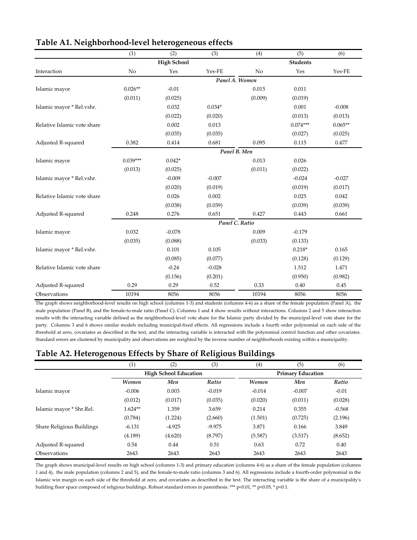| U                           |              | ပ                  |          |                |                 |           |  |  |  |
|-----------------------------|--------------|--------------------|----------|----------------|-----------------|-----------|--|--|--|
|                             | (1)          | (2)                | (3)      | (4)            | (5)             | (6)       |  |  |  |
|                             |              | <b>High School</b> |          |                | <b>Students</b> |           |  |  |  |
| Interaction                 | No           | Yes                | Yes-FE   | No             | Yes             | Yes-FE    |  |  |  |
|                             |              |                    |          | Panel A. Women |                 |           |  |  |  |
| Islamic mayor               | $0.026**$    | $-0.01$            |          | 0.015          | 0.011           |           |  |  |  |
|                             | (0.011)      | (0.025)            |          | (0.009)        | (0.019)         |           |  |  |  |
| Islamic mayor * Rel.vshr.   |              | 0.032              | $0.034*$ |                | 0.001           | $-0.008$  |  |  |  |
|                             |              | (0.022)            | (0.020)  |                | (0.013)         | (0.013)   |  |  |  |
| Relative Islamic vote share |              | 0.002              | 0.013    |                | $0.074***$      | $0.065**$ |  |  |  |
|                             |              | (0.035)            | (0.035)  |                | (0.027)         | (0.025)   |  |  |  |
| Adjusted R-squared          | 0.382        | 0.414              | 0.681    | 0.095          | 0.115           | 0.477     |  |  |  |
|                             | Panel B. Men |                    |          |                |                 |           |  |  |  |
| Islamic mayor               | $0.039***$   | $0.042*$           |          | 0.013          | 0.026           |           |  |  |  |
|                             | (0.013)      | (0.025)            |          | (0.011)        | (0.022)         |           |  |  |  |
| Islamic mayor * Rel.vshr.   |              | $-0.009$           | $-0.007$ |                | $-0.024$        | $-0.027$  |  |  |  |
|                             |              | (0.020)            | (0.019)  |                | (0.019)         | (0.017)   |  |  |  |
| Relative Islamic vote share |              | 0.026              | 0.002    |                | 0.025           | 0.042     |  |  |  |
|                             |              | (0.038)            | (0.039)  |                | (0.039)         | (0.039)   |  |  |  |
| Adjusted R-squared          | 0.248        | 0.276              | 0.651    | 0.427          | 0.443           | 0.661     |  |  |  |
|                             |              |                    |          | Panel C. Ratio |                 |           |  |  |  |
| Islamic mayor               | 0.032        | $-0.078$           |          | 0.009          | $-0.179$        |           |  |  |  |
|                             | (0.035)      | (0.088)            |          | (0.033)        | (0.133)         |           |  |  |  |
| Islamic mayor * Rel.vshr.   |              | 0.101              | 0.105    |                | $0.218*$        | 0.165     |  |  |  |
|                             |              | (0.085)            | (0.077)  |                | (0.128)         | (0.129)   |  |  |  |
| Relative Islamic vote share |              | $-0.24$            | $-0.028$ |                | 1.512           | 1.471     |  |  |  |
|                             |              | (0.156)            | (0.201)  |                | (0.950)         | (0.982)   |  |  |  |
| Adjusted R-squared          | 0.29         | 0.29               | 0.52     | 0.33           | 0.40            | 0.45      |  |  |  |
| Observations                | 10194        | 8056               | 8056     | 10194          | 8056            | 8056      |  |  |  |

|  | Table A1. Neighborhood-level heterogeneous effects |  |
|--|----------------------------------------------------|--|
|  |                                                    |  |

The graph shows neighborhood-level results on high school (columns 1-3) and students (columns 4-6) as a share of the female population (Panel A), the male population (Panel B), and the female-to-male ratio (Panel C). Columns 1 and 4 show results without interactions. Columns 2 and 5 show interaction results with the interacting variable defined as the neighborhood-level vote share for the Islamic party divided by the municipal-level vote share for the party. Columns 3 and 6 shows similar models including municipal‐fixed effects. All regressions include a fourth order polynomial on each side of the threshold at zero, covariates as described in the text, and the interacting variable is interacted with the polynomial control function and other covariates. Standard errors are clustered by municipality and observations are weighted by the inverse number of neighborhoods existing within a municipality.

# **Table A2. Heterogenous Effects by Share of Religious Buildings**

|                           | $\scriptstyle{(1)}$ | (2)                          | (3)      | $\left(4\right)$ | (5)                      | (6)      |  |  |
|---------------------------|---------------------|------------------------------|----------|------------------|--------------------------|----------|--|--|
|                           |                     | <b>High School Education</b> |          |                  | <b>Primary Education</b> |          |  |  |
|                           | <b>Women</b>        | Men                          | Ratio    | Women            | Men                      | Ratio    |  |  |
| Islamic mayor             | $-0.006$            | 0.003                        | $-0.019$ | $-0.014$         | $-0.007$                 | $-0.01$  |  |  |
|                           | (0.012)             | (0.017)                      | (0.035)  | (0.020)          | (0.011)                  | (0.028)  |  |  |
| Islamic mayor * Shr.Rel.  | $1.624**$           | 1.359                        | 3.659    | 0.214            | 0.355                    | $-0.568$ |  |  |
|                           | (0.784)             | (1.224)                      | (2.660)  | (1.501)          | (0.725)                  | (2.196)  |  |  |
| Share Religious Buildings | $-6.131$            | $-4.925$                     | $-9.975$ | 3.871            | 0.166                    | 3.849    |  |  |
|                           | (4.189)             | (4.620)                      | (8.797)  | (5.587)          | (3.517)                  | (8.652)  |  |  |
| Adjusted R-squared        | 0.54                | 0.44                         | 0.51     | 0.63             | 0.72                     | 0.40     |  |  |
| Observations              | 2643                | 2643                         | 2643     | 2643             | 2643                     | 2643     |  |  |

The graph shows municipal‐level results on high school (columns 1‐3) and primary education (columns 4‐6) as a share of the female population (columns 1 and 4), the male population (columns 2 and 5), and the female‐to‐male ratio (columns 3 and 6). All regressions include a fourth‐order polynomial in the Islamic win margin on each side of the threshold at zero, and covariates as described in the text. The interacting variable is the share of a municipalityʹs building floor space composed of religious buildings. Robust standard errors in parenthesis. \*\*\* p<0.01, \*\* p<0.05, \* p<0.1.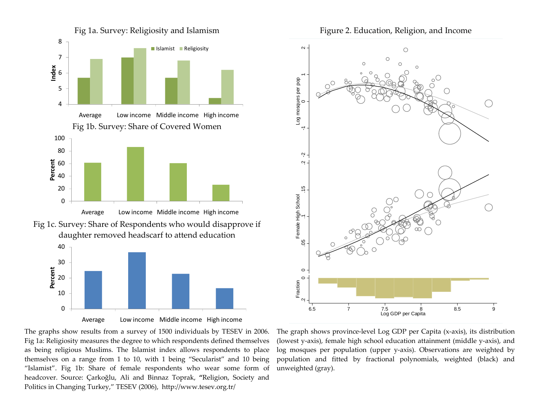



The graphs show results from <sup>a</sup> survey of 1500 individuals by TESEV in 2006. Fig 1a: Religiosity measures the degree to which respondents defined themselves as being religious Muslims. The Islamist index allows respondents to place themselves on <sup>a</sup> range from <sup>1</sup> to 10, with <sup>1</sup> being "Secularist" and 10 being "Islamist". Fig 1b: Share of female respondents who wear some form of headcover. Source: Çarkoğlu, Ali and Binnaz Toprak, **"**Religion, Society and Politics in Changing Turkey," TESEV (2006), http://www.tesev.org.tr/



The graph shows province‐level Log GDP per Capita (x‐axis), its distribution (lowest y‐axis), female high school education attainment (middle y‐axis), and log mosques per population (upper y‐axis). Observations are weighted by population and fitted by fractional polynomials, weighted (black) and unweighted (gray).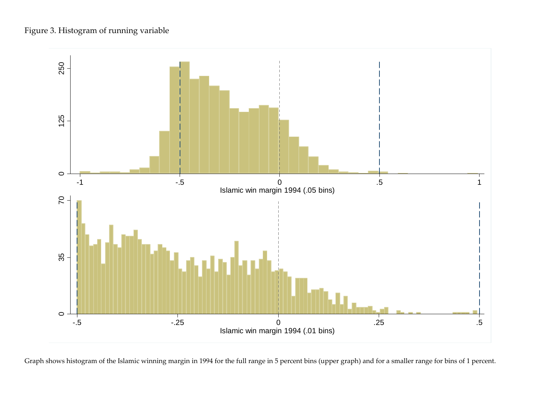

Graph shows histogram of the Islamic winning margin in 1994 for the full range in <sup>5</sup> percen<sup>t</sup> bins (upper graph) and for <sup>a</sup> smaller range for bins of <sup>1</sup> percent.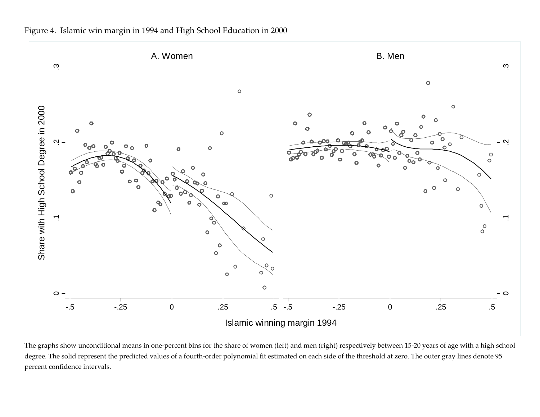



The graphs show unconditional means in one‐percen<sup>t</sup> bins for the share of women (left) and men (right) respectively between 15‐20 years of age with <sup>a</sup> high school degree. The solid represent the predicted values of a fourth-order polynomial fit estimated on each side of the threshold at zero. The outer gray lines denote 95 percen<sup>t</sup> confidence intervals.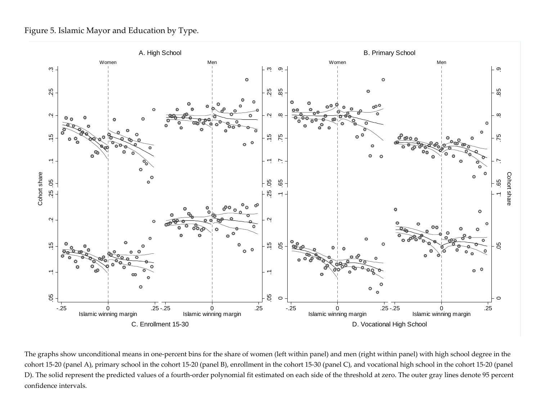Figure 5. Islamic Mayor and Education by Type.



The graphs show unconditional means in one‐percen<sup>t</sup> bins for the share of women (left within panel) and men (right within panel) with high school degree in the cohort 15‐20 (panel A), primary school in the cohort 15‐20 (panel B), enrollment in the cohort 15‐30 (panel C), and vocational high school in the cohort 15‐20 (panel D). The solid represent the predicted values of a fourth-order polynomial fit estimated on each side of the threshold at zero. The outer gray lines denote 95 percent confidence intervals.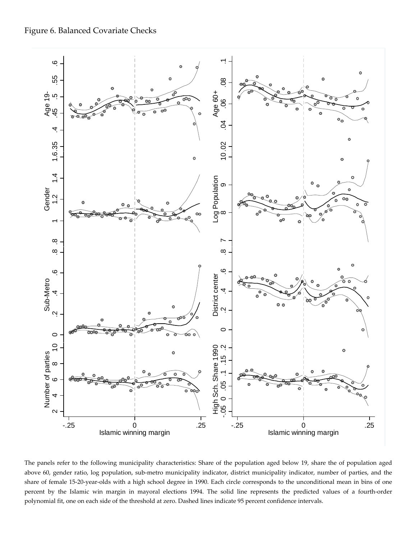

The panels refer to the following municipality characteristics: Share of the population aged below 19, share the of population aged above 60, gender ratio, log population, sub-metro municipality indicator, district municipality indicator, number of parties, and the share of female 15‐20‐year‐olds with a high school degree in 1990. Each circle corresponds to the unconditional mean in bins of one percent by the Islamic win margin in mayoral elections 1994. The solid line represents the predicted values of a fourth‐order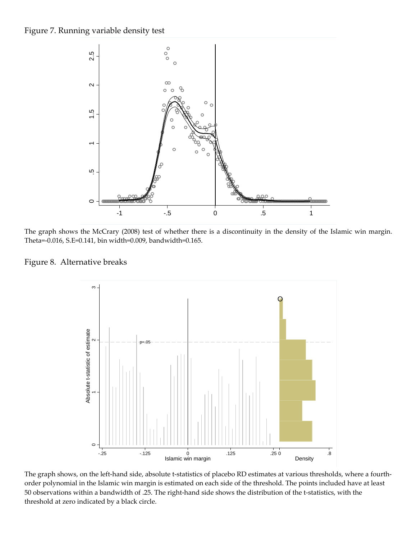

The graph shows the McCrary (2008) test of whether there is a discontinuity in the density of the Islamic win margin. Theta=‐0.016, S.E=0.141, bin width=0.009, bandwidth=0.165.





The graph shows, on the left-hand side, absolute t-statistics of placebo RD estimates at various thresholds, where a fourthorder polynomial in the Islamic win margin is estimated on each side of the threshold. The points included have at least 50 observations within a bandwidth of .25. The right‐hand side shows the distribution of the t‐statistics, with the threshold at zero indicated by a black circle.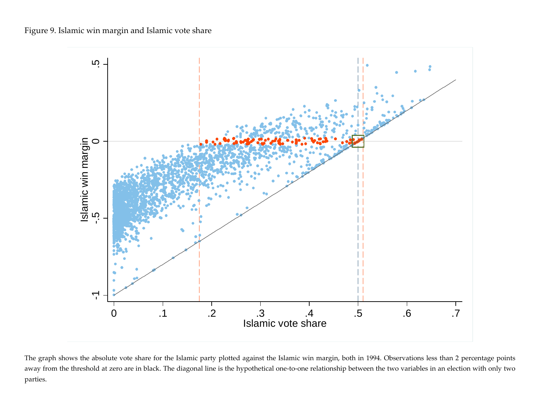Figure 9. Islamic win margin and Islamic vote share



The graph shows the absolute vote share for the Islamic party plotted against the Islamic win margin, both in 1994. Observations less than <sup>2</sup> percentage points away from the threshold at zero are in black. The diagonal line is the hypothetical one-to-one relationship between the two variables in an election with only two parties.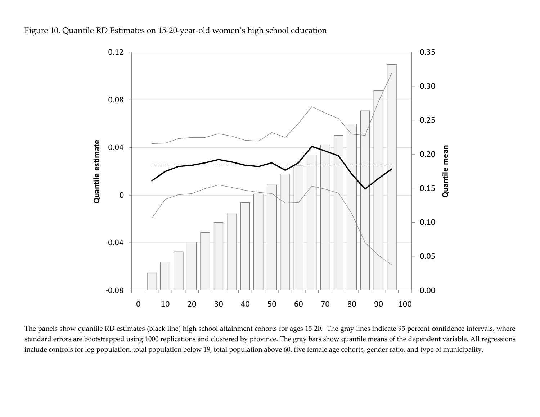



The panels show quantile RD estimates (black line) high school attainment cohorts for ages 15‐20. The gray lines indicate 95 percen<sup>t</sup> confidence intervals, where standard errors are bootstrapped using 1000 replications and clustered by province. The gray bars show quantile means of the dependent variable. All regressions include controls for log population, total population below 19, total population above 60, five female age cohorts, gender ratio, and type of municipality.